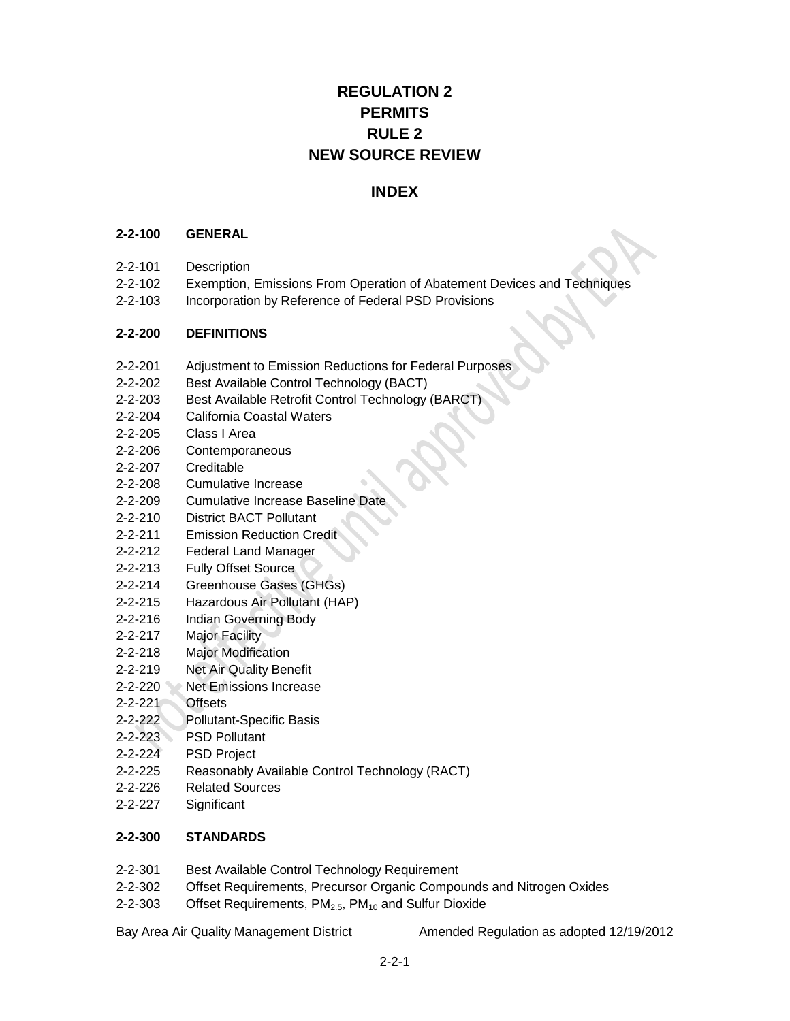# **REGULATION 2 PERMITS RULE 2 NEW SOURCE REVIEW**

# **INDEX**

#### **2-2-100 GENERAL**

- 2-2-101 Description
- 2-2-102 Exemption, Emissions From Operation of Abatement Devices and Techniques
- 2-2-103 Incorporation by Reference of Federal PSD Provisions

## **2-2-200 DEFINITIONS**

- 2-2-201 Adjustment to Emission Reductions for Federal Purposes
- 2-2-202 Best Available Control Technology (BACT)
- 2-2-203 Best Available Retrofit Control Technology (BARCT)
- 2-2-204 California Coastal Waters
- 2-2-205 Class I Area
- 2-2-206 Contemporaneous
- 2-2-207 Creditable
- 2-2-208 Cumulative Increase
- 2-2-209 Cumulative Increase Baseline Date
- 2-2-210 District BACT Pollutant
- 2-2-211 Emission Reduction Credit
- 2-2-212 Federal Land Manager
- 2-2-213 Fully Offset Source
- 2-2-214 Greenhouse Gases (GHGs)
- 2-2-215 Hazardous Air Pollutant (HAP)
- 2-2-216 Indian Governing Body
- 2-2-217 Major Facility
- 2-2-218 Major Modification
- 2-2-219 Net Air Quality Benefit
- 2-2-220 Net Emissions Increase
- 2-2-221 Offsets
- 2-2-222 Pollutant-Specific Basis
- 2-2-223 PSD Pollutant
- 2-2-224 PSD Project
- 2-2-225 Reasonably Available Control Technology (RACT)
- 2-2-226 Related Sources
- 2-2-227 Significant

## **2-2-300 STANDARDS**

- 2-2-301 Best Available Control Technology Requirement
- 2-2-302 Offset Requirements, Precursor Organic Compounds and Nitrogen Oxides
- 2-2-303 Offset Requirements,  $PM<sub>2.5</sub>$ ,  $PM<sub>10</sub>$  and Sulfur Dioxide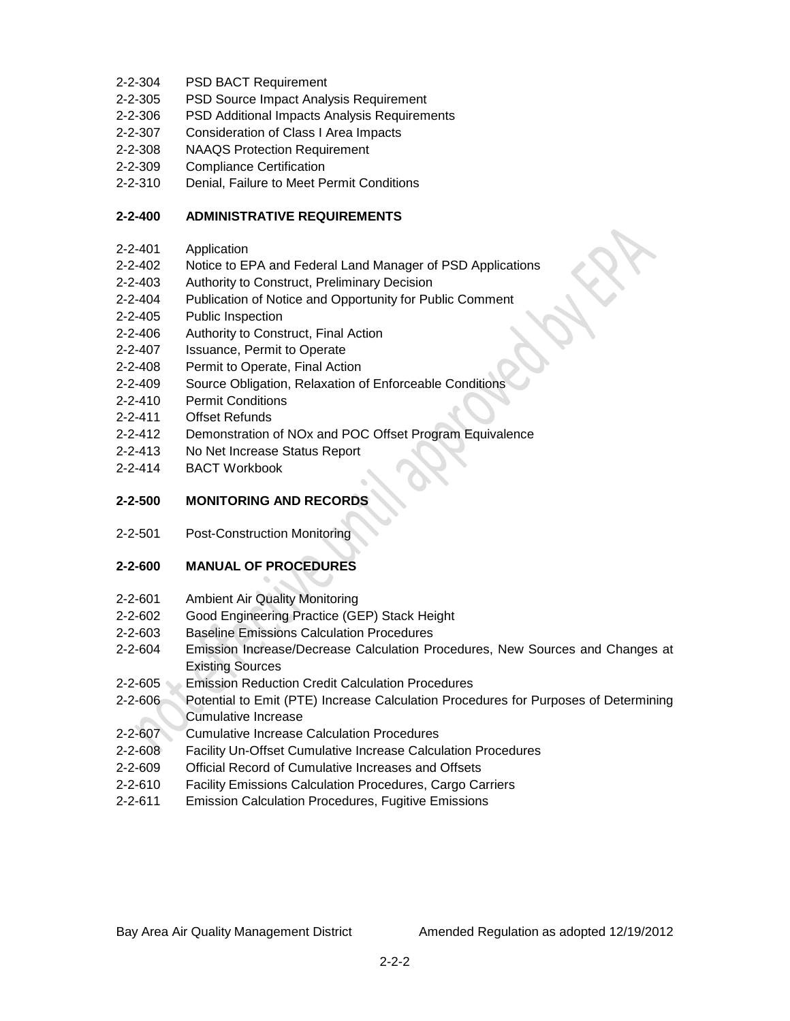- 2-2-304 PSD BACT Requirement
- 2-2-305 PSD Source Impact Analysis Requirement
- 2-2-306 PSD Additional Impacts Analysis Requirements
- 2-2-307 Consideration of Class I Area Impacts
- 2-2-308 NAAQS Protection Requirement
- 2-2-309 Compliance Certification
- 2-2-310 Denial, Failure to Meet Permit Conditions

# **2-2-400 ADMINISTRATIVE REQUIREMENTS**

- 2-2-401 Application
- 2-2-402 Notice to EPA and Federal Land Manager of PSD Applications
- 2-2-403 Authority to Construct, Preliminary Decision
- 2-2-404 Publication of Notice and Opportunity for Public Comment
- 2-2-405 Public Inspection
- 2-2-406 Authority to Construct, Final Action
- 2-2-407 Issuance, Permit to Operate
- 2-2-408 Permit to Operate, Final Action
- 2-2-409 Source Obligation, Relaxation of Enforceable Conditions
- 2-2-410 Permit Conditions
- 2-2-411 Offset Refunds
- 2-2-412 Demonstration of NOx and POC Offset Program Equivalence
- 2-2-413 No Net Increase Status Report
- 2-2-414 BACT Workbook

# **2-2-500 MONITORING AND RECORDS**

2-2-501 Post-Construction Monitoring

## **2-2-600 MANUAL OF PROCEDURES**

- 2-2-601 Ambient Air Quality Monitoring
- 2-2-602 Good Engineering Practice (GEP) Stack Height
- 2-2-603 Baseline Emissions Calculation Procedures
- 2-2-604 Emission Increase/Decrease Calculation Procedures, New Sources and Changes at Existing Sources
- 2-2-605 Emission Reduction Credit Calculation Procedures
- 2-2-606 Potential to Emit (PTE) Increase Calculation Procedures for Purposes of Determining Cumulative Increase
- 2-2-607 Cumulative Increase Calculation Procedures
- 2-2-608 Facility Un-Offset Cumulative Increase Calculation Procedures
- 2-2-609 Official Record of Cumulative Increases and Offsets
- 2-2-610 Facility Emissions Calculation Procedures, Cargo Carriers
- 2-2-611 Emission Calculation Procedures, Fugitive Emissions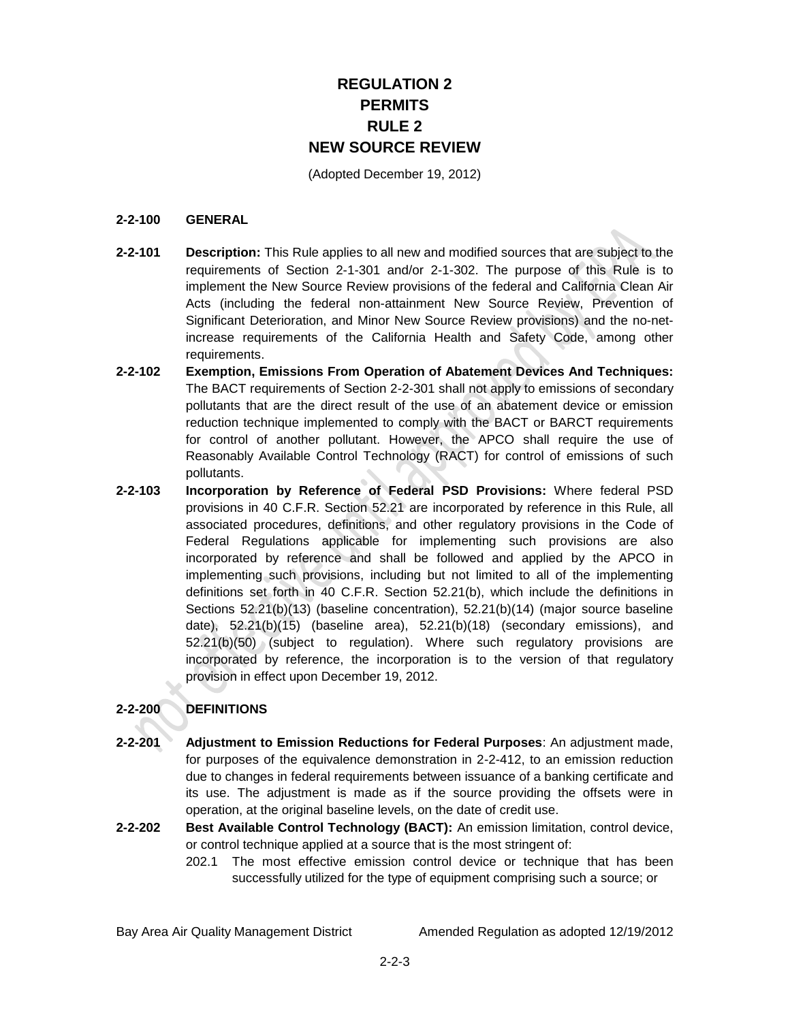# **REGULATION 2 PERMITS RULE 2 NEW SOURCE REVIEW**

(Adopted December 19, 2012)

#### **2-2-100 GENERAL**

- **2-2-101 Description:** This Rule applies to all new and modified sources that are subject to the requirements of Section 2-1-301 and/or 2-1-302. The purpose of this Rule is to implement the New Source Review provisions of the federal and California Clean Air Acts (including the federal non-attainment New Source Review, Prevention of Significant Deterioration, and Minor New Source Review provisions) and the no-netincrease requirements of the California Health and Safety Code, among other requirements.
- **2-2-102 Exemption, Emissions From Operation of Abatement Devices And Techniques:**  The BACT requirements of Section 2-2-301 shall not apply to emissions of secondary pollutants that are the direct result of the use of an abatement device or emission reduction technique implemented to comply with the BACT or BARCT requirements for control of another pollutant. However, the APCO shall require the use of Reasonably Available Control Technology (RACT) for control of emissions of such pollutants.
- **2-2-103 Incorporation by Reference of Federal PSD Provisions:** Where federal PSD provisions in 40 C.F.R. Section 52.21 are incorporated by reference in this Rule, all associated procedures, definitions, and other regulatory provisions in the Code of Federal Regulations applicable for implementing such provisions are also incorporated by reference and shall be followed and applied by the APCO in implementing such provisions, including but not limited to all of the implementing definitions set forth in 40 C.F.R. Section 52.21(b), which include the definitions in Sections 52.21(b)(13) (baseline concentration), 52.21(b)(14) (major source baseline date), 52.21(b)(15) (baseline area), 52.21(b)(18) (secondary emissions), and 52.21(b)(50) (subject to regulation). Where such regulatory provisions are incorporated by reference, the incorporation is to the version of that regulatory provision in effect upon December 19, 2012.

## **2-2-200 DEFINITIONS**

- **2-2-201 Adjustment to Emission Reductions for Federal Purposes**: An adjustment made, for purposes of the equivalence demonstration in 2-2-412, to an emission reduction due to changes in federal requirements between issuance of a banking certificate and its use. The adjustment is made as if the source providing the offsets were in operation, at the original baseline levels, on the date of credit use.
- **2-2-202 Best Available Control Technology (BACT):** An emission limitation, control device, or control technique applied at a source that is the most stringent of:
	- 202.1 The most effective emission control device or technique that has been successfully utilized for the type of equipment comprising such a source; or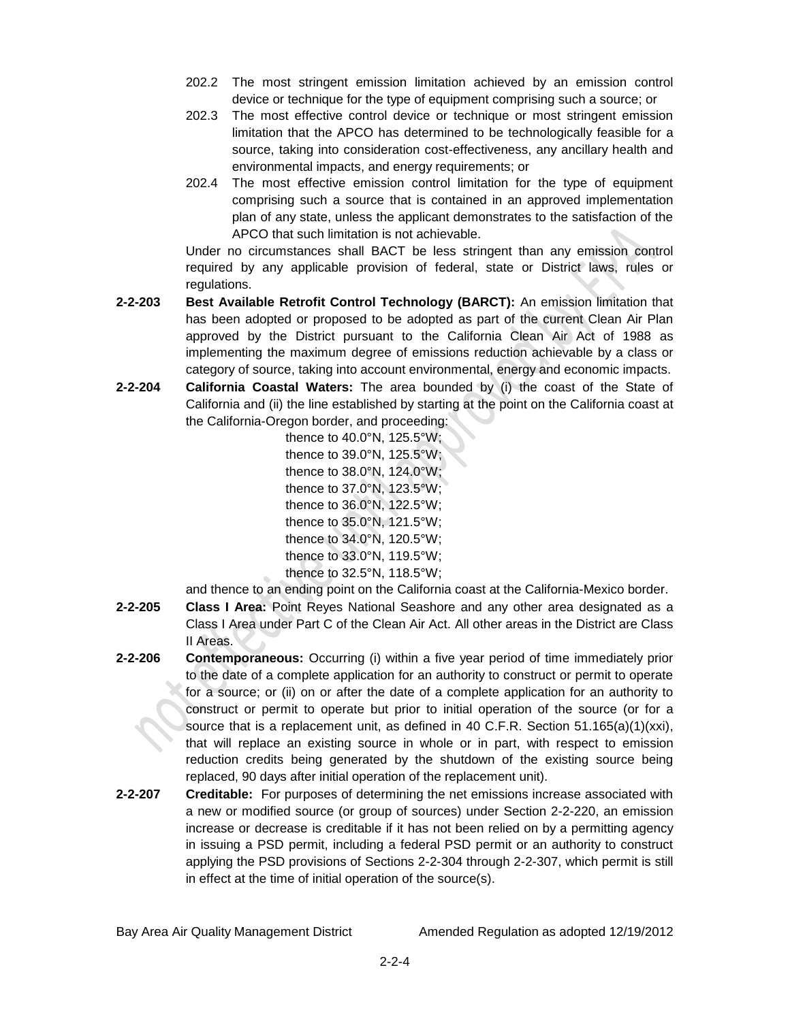- 202.2 The most stringent emission limitation achieved by an emission control device or technique for the type of equipment comprising such a source; or
- 202.3 The most effective control device or technique or most stringent emission limitation that the APCO has determined to be technologically feasible for a source, taking into consideration cost-effectiveness, any ancillary health and environmental impacts, and energy requirements; or
- 202.4 The most effective emission control limitation for the type of equipment comprising such a source that is contained in an approved implementation plan of any state, unless the applicant demonstrates to the satisfaction of the APCO that such limitation is not achievable.

Under no circumstances shall BACT be less stringent than any emission control required by any applicable provision of federal, state or District laws, rules or regulations.

- **2-2-203 Best Available Retrofit Control Technology (BARCT):** An emission limitation that has been adopted or proposed to be adopted as part of the current Clean Air Plan approved by the District pursuant to the California Clean Air Act of 1988 as implementing the maximum degree of emissions reduction achievable by a class or category of source, taking into account environmental, energy and economic impacts.
- **2-2-204 California Coastal Waters:** The area bounded by (i) the coast of the State of California and (ii) the line established by starting at the point on the California coast at the California-Oregon border, and proceeding:

thence to 40.0°N, 125.5°W; thence to 39.0°N, 125.5°W; thence to 38.0°N, 124.0°W; thence to 37.0°N, 123.5°W; thence to 36.0°N, 122.5°W; thence to 35.0°N, 121.5°W; thence to 34.0°N, 120.5°W; thence to 33.0°N, 119.5°W; thence to 32.5°N, 118.5°W;

and thence to an ending point on the California coast at the California-Mexico border.

- **2-2-205 Class I Area:** Point Reyes National Seashore and any other area designated as a Class I Area under Part C of the Clean Air Act. All other areas in the District are Class II Areas.
- **2-2-206 Contemporaneous:** Occurring (i) within a five year period of time immediately prior to the date of a complete application for an authority to construct or permit to operate for a source; or (ii) on or after the date of a complete application for an authority to construct or permit to operate but prior to initial operation of the source (or for a source that is a replacement unit, as defined in 40 C.F.R. Section 51.165(a)(1)(xxi), that will replace an existing source in whole or in part, with respect to emission reduction credits being generated by the shutdown of the existing source being replaced, 90 days after initial operation of the replacement unit).
- **2-2-207 Creditable:** For purposes of determining the net emissions increase associated with a new or modified source (or group of sources) under Section 2-2-220, an emission increase or decrease is creditable if it has not been relied on by a permitting agency in issuing a PSD permit, including a federal PSD permit or an authority to construct applying the PSD provisions of Sections 2-2-304 through 2-2-307, which permit is still in effect at the time of initial operation of the source(s).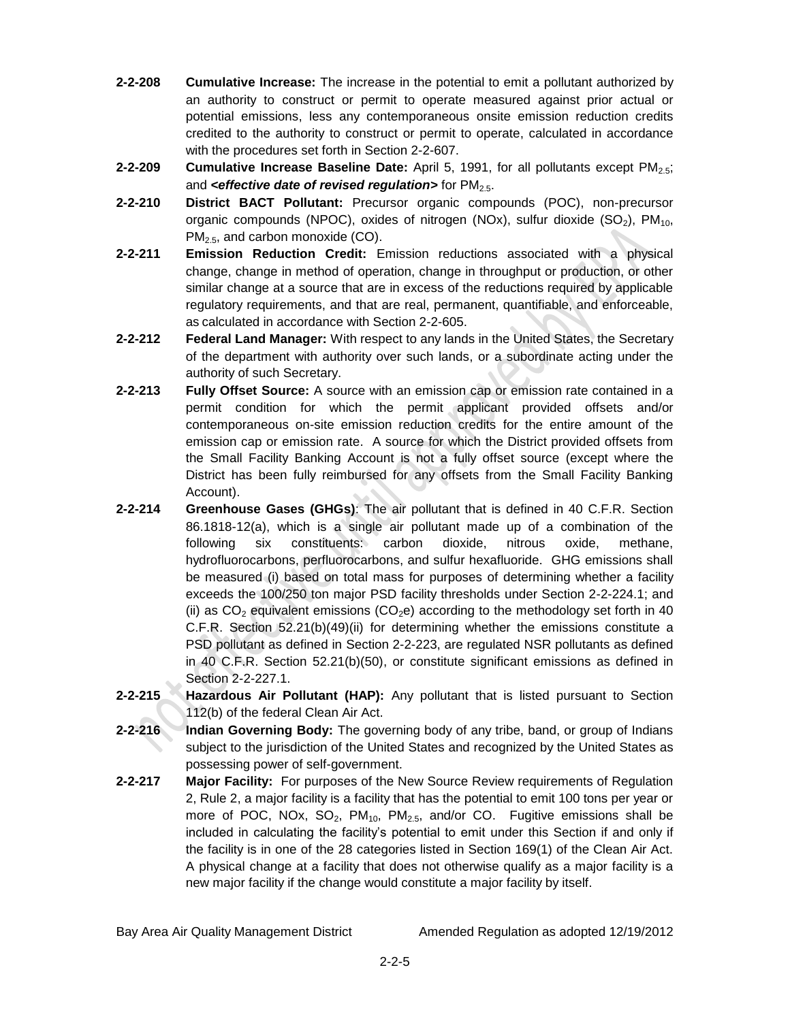- **2-2-208 Cumulative Increase:** The increase in the potential to emit a pollutant authorized by an authority to construct or permit to operate measured against prior actual or potential emissions, less any contemporaneous onsite emission reduction credits credited to the authority to construct or permit to operate, calculated in accordance with the procedures set forth in Section 2-2-607.
- **2-2-209 Cumulative Increase Baseline Date:** April 5, 1991, for all pollutants except PM<sub>2.5</sub>; and *<effective date of revised regulation>* for PM<sub>2.5</sub>.
- **2-2-210 District BACT Pollutant:** Precursor organic compounds (POC), non-precursor organic compounds (NPOC), oxides of nitrogen (NOx), sulfur dioxide  $(SO<sub>2</sub>)$ , PM<sub>10</sub>,  $PM<sub>2.5</sub>$ , and carbon monoxide (CO).
- **2-2-211 Emission Reduction Credit:** Emission reductions associated with a physical change, change in method of operation, change in throughput or production, or other similar change at a source that are in excess of the reductions required by applicable regulatory requirements, and that are real, permanent, quantifiable, and enforceable, as calculated in accordance with Section 2-2-605.
- **2-2-212 Federal Land Manager:** With respect to any lands in the United States, the Secretary of the department with authority over such lands, or a subordinate acting under the authority of such Secretary.
- **2-2-213 Fully Offset Source:** A source with an emission cap or emission rate contained in a permit condition for which the permit applicant provided offsets and/or contemporaneous on-site emission reduction credits for the entire amount of the emission cap or emission rate. A source for which the District provided offsets from the Small Facility Banking Account is not a fully offset source (except where the District has been fully reimbursed for any offsets from the Small Facility Banking Account).
- **2-2-214 Greenhouse Gases (GHGs)**: The air pollutant that is defined in 40 C.F.R. Section 86.1818-12(a), which is a single air pollutant made up of a combination of the following six constituents: carbon dioxide, nitrous oxide, methane, hydrofluorocarbons, perfluorocarbons, and sulfur hexafluoride. GHG emissions shall be measured (i) based on total mass for purposes of determining whether a facility exceeds the 100/250 ton major PSD facility thresholds under Section 2-2-224.1; and (ii) as  $CO<sub>2</sub>$  equivalent emissions (CO<sub>2</sub>e) according to the methodology set forth in 40 C.F.R. Section 52.21(b)(49)(ii) for determining whether the emissions constitute a PSD pollutant as defined in Section 2-2-223, are regulated NSR pollutants as defined in 40 C.F.R. Section 52.21(b)(50), or constitute significant emissions as defined in Section 2-2-227.1.
- **2-2-215 Hazardous Air Pollutant (HAP):** Any pollutant that is listed pursuant to Section 112(b) of the federal Clean Air Act.
- **2-2-216 Indian Governing Body:** The governing body of any tribe, band, or group of Indians subject to the jurisdiction of the United States and recognized by the United States as possessing power of self-government.
- **2-2-217 Major Facility:** For purposes of the New Source Review requirements of Regulation 2, Rule 2, a major facility is a facility that has the potential to emit 100 tons per year or more of POC, NOx,  $SO_2$ , PM<sub>10</sub>, PM<sub>2.5</sub>, and/or CO. Fugitive emissions shall be included in calculating the facility's potential to emit under this Section if and only if the facility is in one of the 28 categories listed in Section 169(1) of the Clean Air Act. A physical change at a facility that does not otherwise qualify as a major facility is a new major facility if the change would constitute a major facility by itself.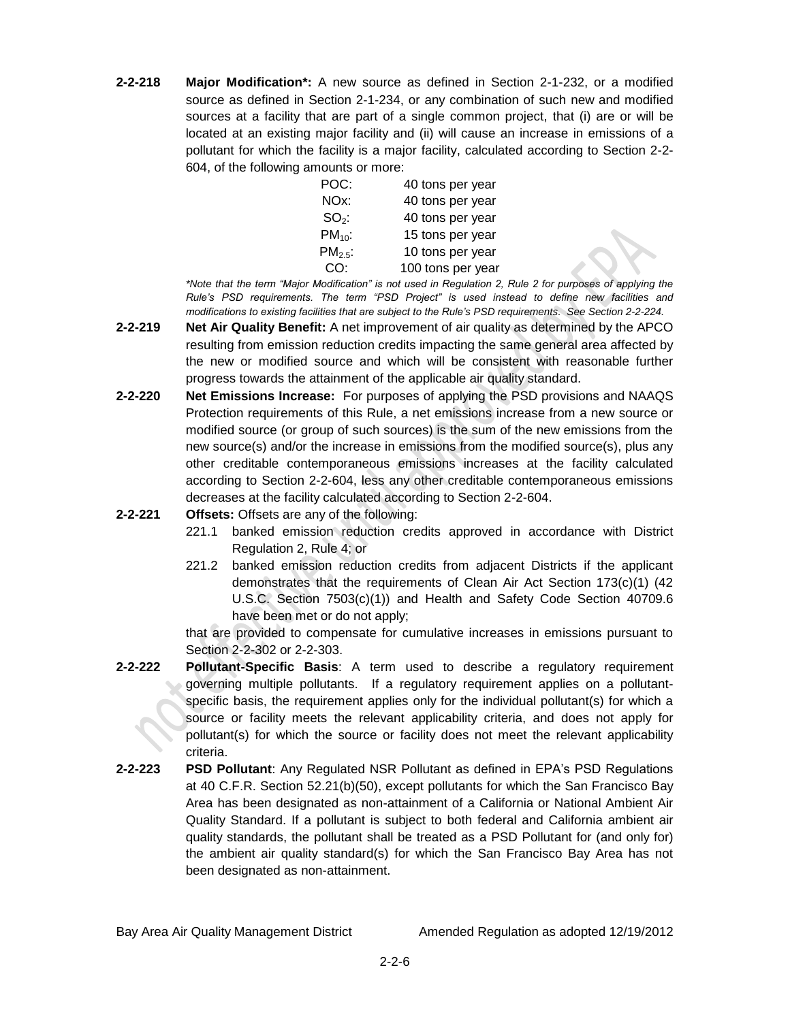**2-2-218 Major Modification\*:** A new source as defined in Section 2-1-232, or a modified source as defined in Section 2-1-234, or any combination of such new and modified sources at a facility that are part of a single common project, that (i) are or will be located at an existing major facility and (ii) will cause an increase in emissions of a pollutant for which the facility is a major facility, calculated according to Section 2-2- 604, of the following amounts or more:

| POC:         | 40 tons per year  |
|--------------|-------------------|
| NOx:         | 40 tons per year  |
| $SO_2$ :     | 40 tons per year  |
| $PM_{10}$ :  | 15 tons per year  |
| $PM_{2.5}$ : | 10 tons per year  |
| CO:          | 100 tons per year |

*\*Note that the term "Major Modification" is not used in Regulation 2, Rule 2 for purposes of applying the Rule's PSD requirements. The term "PSD Project" is used instead to define new facilities and modifications to existing facilities that are subject to the Rule's PSD requirements. See Section 2-2-224.*

- **2-2-219 Net Air Quality Benefit:** A net improvement of air quality as determined by the APCO resulting from emission reduction credits impacting the same general area affected by the new or modified source and which will be consistent with reasonable further progress towards the attainment of the applicable air quality standard.
- **2-2-220 Net Emissions Increase:** For purposes of applying the PSD provisions and NAAQS Protection requirements of this Rule, a net emissions increase from a new source or modified source (or group of such sources) is the sum of the new emissions from the new source(s) and/or the increase in emissions from the modified source(s), plus any other creditable contemporaneous emissions increases at the facility calculated according to Section 2-2-604, less any other creditable contemporaneous emissions decreases at the facility calculated according to Section 2-2-604.
- **2-2-221 Offsets:** Offsets are any of the following:
	- 221.1 banked emission reduction credits approved in accordance with District Regulation 2, Rule 4; or
	- 221.2 banked emission reduction credits from adjacent Districts if the applicant demonstrates that the requirements of Clean Air Act Section 173(c)(1) (42 U.S.C. Section 7503(c)(1)) and Health and Safety Code Section 40709.6 have been met or do not apply;

that are provided to compensate for cumulative increases in emissions pursuant to Section 2-2-302 or 2-2-303.

- **2-2-222 Pollutant-Specific Basis**: A term used to describe a regulatory requirement governing multiple pollutants. If a regulatory requirement applies on a pollutantspecific basis, the requirement applies only for the individual pollutant(s) for which a source or facility meets the relevant applicability criteria, and does not apply for pollutant(s) for which the source or facility does not meet the relevant applicability criteria.
- **2-2-223 PSD Pollutant**: Any Regulated NSR Pollutant as defined in EPA's PSD Regulations at 40 C.F.R. Section 52.21(b)(50), except pollutants for which the San Francisco Bay Area has been designated as non-attainment of a California or National Ambient Air Quality Standard. If a pollutant is subject to both federal and California ambient air quality standards, the pollutant shall be treated as a PSD Pollutant for (and only for) the ambient air quality standard(s) for which the San Francisco Bay Area has not been designated as non-attainment.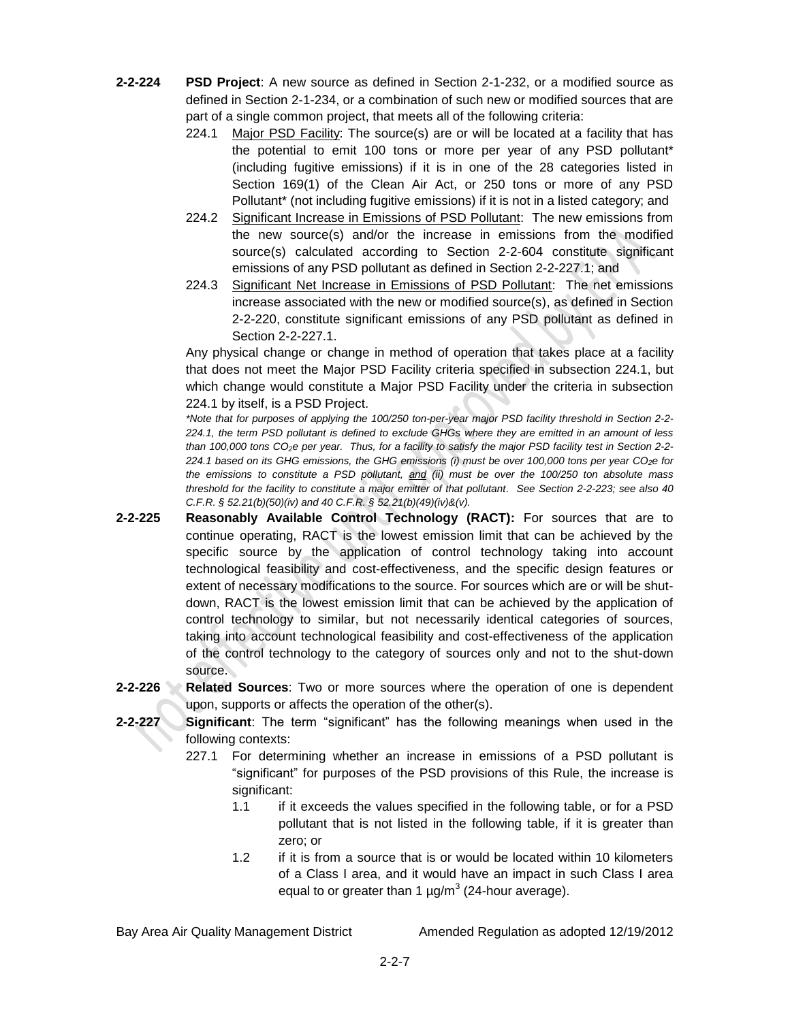- **2-2-224 PSD Project**: A new source as defined in Section 2-1-232, or a modified source as defined in Section 2-1-234, or a combination of such new or modified sources that are part of a single common project, that meets all of the following criteria:
	- 224.1 Major PSD Facility: The source(s) are or will be located at a facility that has the potential to emit 100 tons or more per year of any PSD pollutant\* (including fugitive emissions) if it is in one of the 28 categories listed in Section 169(1) of the Clean Air Act, or 250 tons or more of any PSD Pollutant\* (not including fugitive emissions) if it is not in a listed category; and
	- 224.2 Significant Increase in Emissions of PSD Pollutant: The new emissions from the new source(s) and/or the increase in emissions from the modified source(s) calculated according to Section 2-2-604 constitute significant emissions of any PSD pollutant as defined in Section 2-2-227.1; and
	- 224.3 Significant Net Increase in Emissions of PSD Pollutant: The net emissions increase associated with the new or modified source(s), as defined in Section 2-2-220, constitute significant emissions of any PSD pollutant as defined in Section 2-2-227.1.

Any physical change or change in method of operation that takes place at a facility that does not meet the Major PSD Facility criteria specified in subsection 224.1, but which change would constitute a Major PSD Facility under the criteria in subsection 224.1 by itself, is a PSD Project.

*\*Note that for purposes of applying the 100/250 ton-per-year major PSD facility threshold in Section 2-2- 224.1, the term PSD pollutant is defined to exclude GHGs where they are emitted in an amount of less than 100,000 tons CO2e per year. Thus, for a facility to satisfy the major PSD facility test in Section 2-2- 224.1 based on its GHG emissions, the GHG emissions (i) must be over 100,000 tons per year CO2e for the emissions to constitute a PSD pollutant, and (ii) must be over the 100/250 ton absolute mass threshold for the facility to constitute a major emitter of that pollutant. See Section 2-2-223; see also 40 C.F.R. § 52.21(b)(50)(iv) and 40 C.F.R. § 52.21(b)(49)(iv)&(v).*

- **2-2-225 Reasonably Available Control Technology (RACT):** For sources that are to continue operating, RACT is the lowest emission limit that can be achieved by the specific source by the application of control technology taking into account technological feasibility and cost-effectiveness, and the specific design features or extent of necessary modifications to the source. For sources which are or will be shutdown, RACT is the lowest emission limit that can be achieved by the application of control technology to similar, but not necessarily identical categories of sources, taking into account technological feasibility and cost-effectiveness of the application of the control technology to the category of sources only and not to the shut-down source.
- **2-2-226 Related Sources**: Two or more sources where the operation of one is dependent upon, supports or affects the operation of the other(s).
- **2-2-227 Significant**: The term "significant" has the following meanings when used in the following contexts:
	- 227.1 For determining whether an increase in emissions of a PSD pollutant is "significant" for purposes of the PSD provisions of this Rule, the increase is significant:
		- 1.1 if it exceeds the values specified in the following table, or for a PSD pollutant that is not listed in the following table, if it is greater than zero; or
		- 1.2 if it is from a source that is or would be located within 10 kilometers of a Class I area, and it would have an impact in such Class I area equal to or greater than 1  $\mu$ g/m $3$  (24-hour average).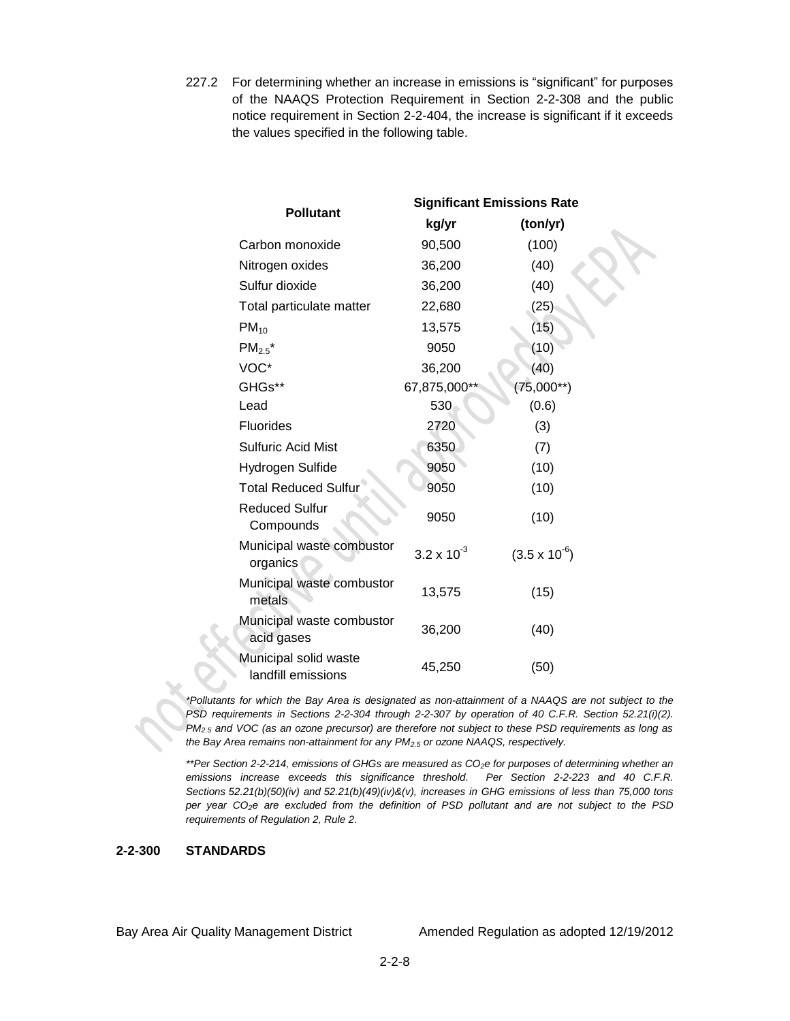227.2 For determining whether an increase in emissions is "significant" for purposes of the NAAQS Protection Requirement in Section 2-2-308 and the public notice requirement in Section 2-2-404, the increase is significant if it exceeds the values specified in the following table.

|                                             | <b>Significant Emissions Rate</b> |                        |  |
|---------------------------------------------|-----------------------------------|------------------------|--|
| <b>Pollutant</b>                            | kg/yr<br>(ton/yr)                 |                        |  |
| Carbon monoxide                             | 90,500                            | (100)                  |  |
| Nitrogen oxides                             | 36,200                            | (40)                   |  |
| Sulfur dioxide                              | 36,200                            | (40)                   |  |
| Total particulate matter                    | 22,680                            | (25)                   |  |
| $PM_{10}$                                   | 13,575                            | (15)                   |  |
| $PM_{2.5}$ *                                | 9050                              | (10)                   |  |
| VOC*                                        | 36,200                            | (40)                   |  |
| GHGs**                                      | 67,875,000*                       | $(75,000**)$           |  |
| Lead                                        | 530                               | (0.6)                  |  |
| Fluorides                                   | 2720                              | (3)                    |  |
| <b>Sulfuric Acid Mist</b>                   | 6350                              | (7)                    |  |
| Hydrogen Sulfide                            | 9050                              | (10)                   |  |
| <b>Total Reduced Sulfur</b>                 | 9050                              | (10)                   |  |
| <b>Reduced Sulfur</b><br>Compounds          | 9050                              | (10)                   |  |
| Municipal waste combustor<br>organics       | $3.2 \times 10^{-3}$              | $(3.5 \times 10^{-6})$ |  |
| Municipal waste combustor<br>metals         | 13,575                            | (15)                   |  |
| Municipal waste combustor<br>acid gases     | 36,200                            | (40)                   |  |
| Municipal solid waste<br>landfill emissions | 45,250                            | (50)                   |  |

*\*Pollutants for which the Bay Area is designated as non-attainment of a NAAQS are not subject to the PSD requirements in Sections 2-2-304 through 2-2-307 by operation of 40 C.F.R. Section 52.21(i)(2). PM2.5 and VOC (as an ozone precursor) are therefore not subject to these PSD requirements as long as the Bay Area remains non-attainment for any PM2.5 or ozone NAAQS, respectively.*

*\*\*Per Section 2-2-214, emissions of GHGs are measured as CO2e for purposes of determining whether an emissions increase exceeds this significance threshold. Per Section 2-2-223 and 40 C.F.R. Sections 52.21(b)(50)(iv) and 52.21(b)(49)(iv)&(v), increases in GHG emissions of less than 75,000 tons per year CO2e are excluded from the definition of PSD pollutant and are not subject to the PSD requirements of Regulation 2, Rule 2.*

### **2-2-300 STANDARDS**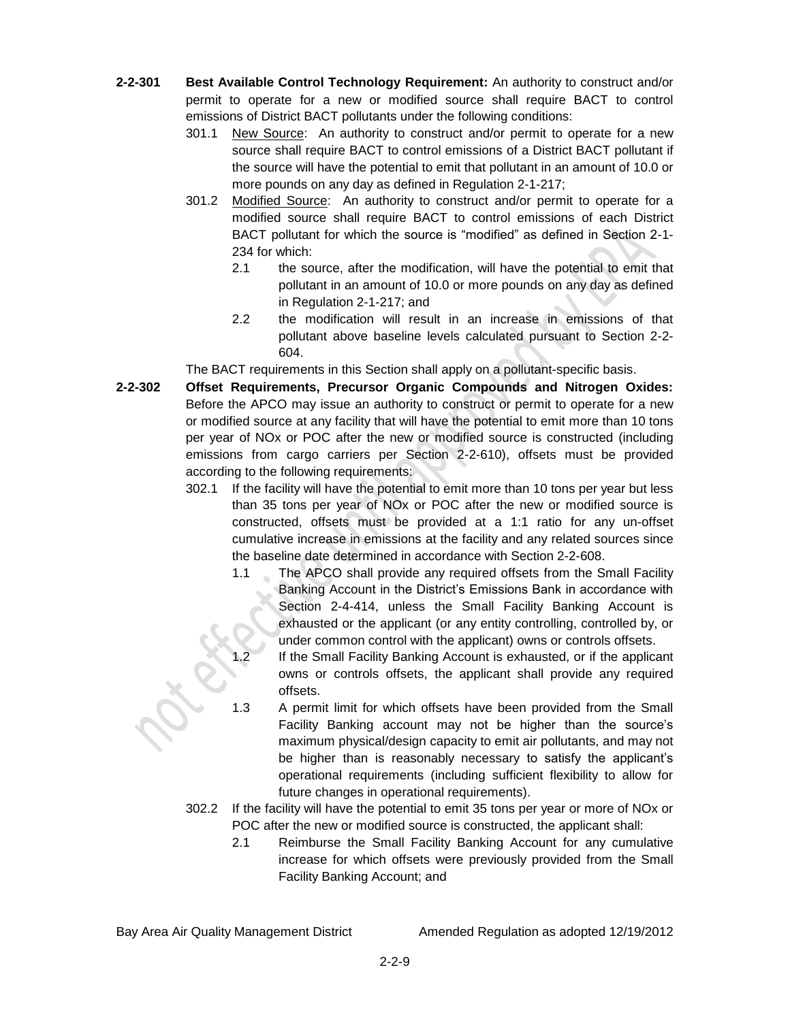- **2-2-301 Best Available Control Technology Requirement:** An authority to construct and/or permit to operate for a new or modified source shall require BACT to control emissions of District BACT pollutants under the following conditions:
	- 301.1 New Source: An authority to construct and/or permit to operate for a new source shall require BACT to control emissions of a District BACT pollutant if the source will have the potential to emit that pollutant in an amount of 10.0 or more pounds on any day as defined in Regulation 2-1-217;
	- 301.2 Modified Source: An authority to construct and/or permit to operate for a modified source shall require BACT to control emissions of each District BACT pollutant for which the source is "modified" as defined in Section 2-1- 234 for which:
		- 2.1 the source, after the modification, will have the potential to emit that pollutant in an amount of 10.0 or more pounds on any day as defined in Regulation 2-1-217; and
		- 2.2 the modification will result in an increase in emissions of that pollutant above baseline levels calculated pursuant to Section 2-2- 604.

The BACT requirements in this Section shall apply on a pollutant-specific basis.

- **2-2-302 Offset Requirements, Precursor Organic Compounds and Nitrogen Oxides:** Before the APCO may issue an authority to construct or permit to operate for a new or modified source at any facility that will have the potential to emit more than 10 tons per year of NOx or POC after the new or modified source is constructed (including emissions from cargo carriers per Section 2-2-610), offsets must be provided according to the following requirements:
	- 302.1 If the facility will have the potential to emit more than 10 tons per year but less than 35 tons per year of NOx or POC after the new or modified source is constructed, offsets must be provided at a 1:1 ratio for any un-offset cumulative increase in emissions at the facility and any related sources since the baseline date determined in accordance with Section 2-2-608.
		- 1.1 The APCO shall provide any required offsets from the Small Facility Banking Account in the District's Emissions Bank in accordance with Section 2-4-414, unless the Small Facility Banking Account is exhausted or the applicant (or any entity controlling, controlled by, or under common control with the applicant) owns or controls offsets.
		- 1.2 If the Small Facility Banking Account is exhausted, or if the applicant owns or controls offsets, the applicant shall provide any required offsets.
		- 1.3 A permit limit for which offsets have been provided from the Small Facility Banking account may not be higher than the source's maximum physical/design capacity to emit air pollutants, and may not be higher than is reasonably necessary to satisfy the applicant's operational requirements (including sufficient flexibility to allow for future changes in operational requirements).
	- 302.2 If the facility will have the potential to emit 35 tons per year or more of NOx or POC after the new or modified source is constructed, the applicant shall:
		- 2.1 Reimburse the Small Facility Banking Account for any cumulative increase for which offsets were previously provided from the Small Facility Banking Account; and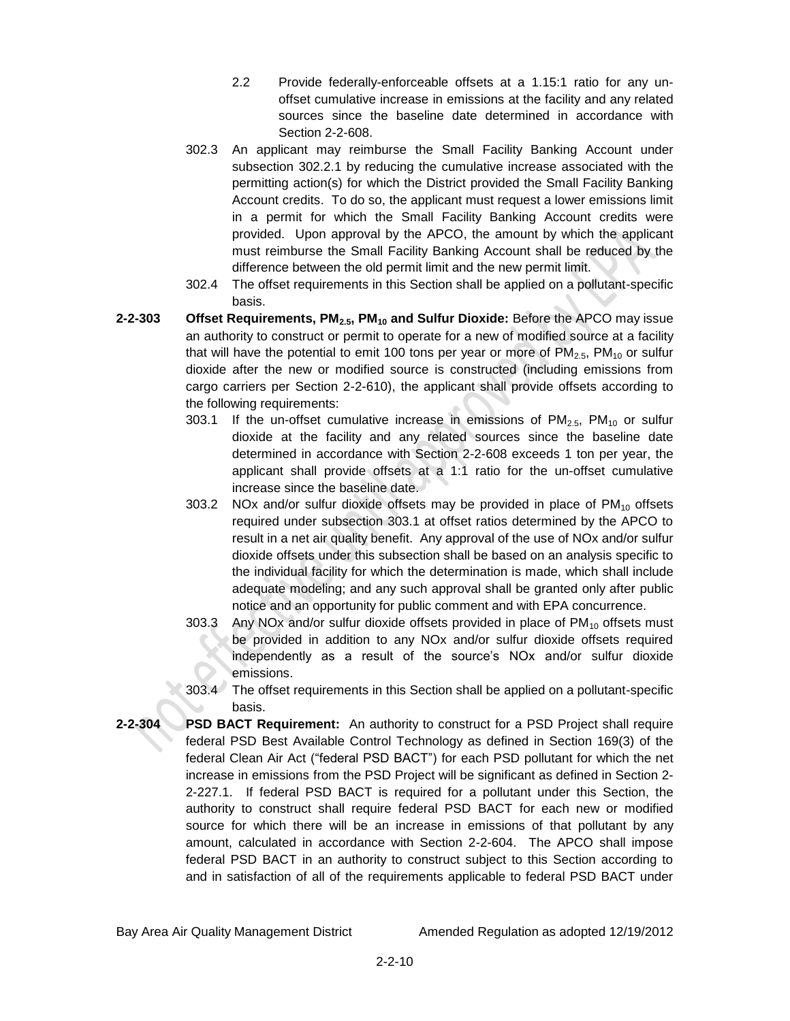- 2.2 Provide federally-enforceable offsets at a 1.15:1 ratio for any unoffset cumulative increase in emissions at the facility and any related sources since the baseline date determined in accordance with Section 2-2-608.
- 302.3 An applicant may reimburse the Small Facility Banking Account under subsection 302.2.1 by reducing the cumulative increase associated with the permitting action(s) for which the District provided the Small Facility Banking Account credits. To do so, the applicant must request a lower emissions limit in a permit for which the Small Facility Banking Account credits were provided. Upon approval by the APCO, the amount by which the applicant must reimburse the Small Facility Banking Account shall be reduced by the difference between the old permit limit and the new permit limit.
- 302.4 The offset requirements in this Section shall be applied on a pollutant-specific basis.
- **2-2-303 Offset Requirements, PM2.5, PM<sup>10</sup> and Sulfur Dioxide:** Before the APCO may issue an authority to construct or permit to operate for a new of modified source at a facility that will have the potential to emit 100 tons per year or more of  $PM_{2.5}$ ,  $PM_{10}$  or sulfur dioxide after the new or modified source is constructed (including emissions from cargo carriers per Section 2-2-610), the applicant shall provide offsets according to the following requirements:
	- 303.1 If the un-offset cumulative increase in emissions of  $PM_{2.5}$ ,  $PM_{10}$  or sulfur dioxide at the facility and any related sources since the baseline date determined in accordance with Section 2-2-608 exceeds 1 ton per year, the applicant shall provide offsets at a 1:1 ratio for the un-offset cumulative increase since the baseline date.
	- 303.2 NOx and/or sulfur dioxide offsets may be provided in place of  $PM_{10}$  offsets required under subsection 303.1 at offset ratios determined by the APCO to result in a net air quality benefit. Any approval of the use of NOx and/or sulfur dioxide offsets under this subsection shall be based on an analysis specific to the individual facility for which the determination is made, which shall include adequate modeling; and any such approval shall be granted only after public notice and an opportunity for public comment and with EPA concurrence.
	- 303.3 Any NOx and/or sulfur dioxide offsets provided in place of  $PM_{10}$  offsets must be provided in addition to any NOx and/or sulfur dioxide offsets required independently as a result of the source's NOx and/or sulfur dioxide emissions.
	- 303.4 The offset requirements in this Section shall be applied on a pollutant-specific basis.
- **2-2-304 PSD BACT Requirement:** An authority to construct for a PSD Project shall require federal PSD Best Available Control Technology as defined in Section 169(3) of the federal Clean Air Act ("federal PSD BACT") for each PSD pollutant for which the net increase in emissions from the PSD Project will be significant as defined in Section 2- 2-227.1. If federal PSD BACT is required for a pollutant under this Section, the authority to construct shall require federal PSD BACT for each new or modified source for which there will be an increase in emissions of that pollutant by any amount, calculated in accordance with Section 2-2-604. The APCO shall impose federal PSD BACT in an authority to construct subject to this Section according to and in satisfaction of all of the requirements applicable to federal PSD BACT under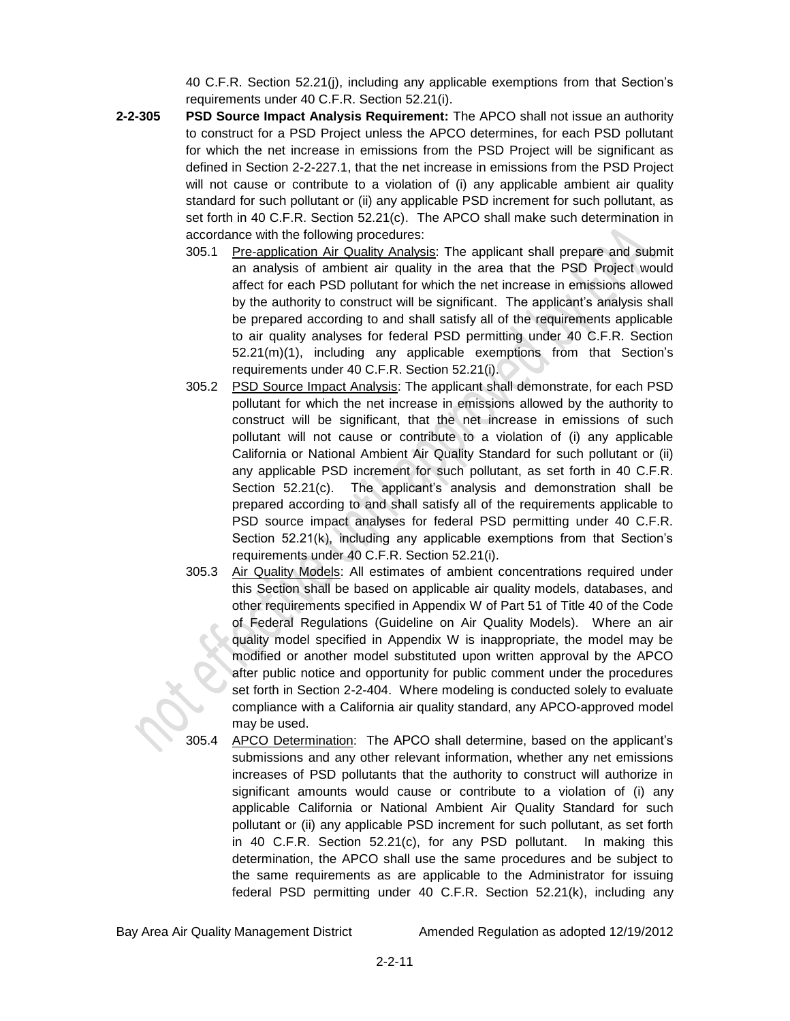40 C.F.R. Section 52.21(j), including any applicable exemptions from that Section's requirements under 40 C.F.R. Section 52.21(i).

- **2-2-305 PSD Source Impact Analysis Requirement:** The APCO shall not issue an authority to construct for a PSD Project unless the APCO determines, for each PSD pollutant for which the net increase in emissions from the PSD Project will be significant as defined in Section 2-2-227.1, that the net increase in emissions from the PSD Project will not cause or contribute to a violation of (i) any applicable ambient air quality standard for such pollutant or (ii) any applicable PSD increment for such pollutant, as set forth in 40 C.F.R. Section 52.21(c). The APCO shall make such determination in accordance with the following procedures:
	- 305.1 Pre-application Air Quality Analysis: The applicant shall prepare and submit an analysis of ambient air quality in the area that the PSD Project would affect for each PSD pollutant for which the net increase in emissions allowed by the authority to construct will be significant. The applicant's analysis shall be prepared according to and shall satisfy all of the requirements applicable to air quality analyses for federal PSD permitting under 40 C.F.R. Section 52.21(m)(1), including any applicable exemptions from that Section's requirements under 40 C.F.R. Section 52.21(i).
	- 305.2 PSD Source Impact Analysis: The applicant shall demonstrate, for each PSD pollutant for which the net increase in emissions allowed by the authority to construct will be significant, that the net increase in emissions of such pollutant will not cause or contribute to a violation of (i) any applicable California or National Ambient Air Quality Standard for such pollutant or (ii) any applicable PSD increment for such pollutant, as set forth in 40 C.F.R. Section 52.21(c). The applicant's analysis and demonstration shall be prepared according to and shall satisfy all of the requirements applicable to PSD source impact analyses for federal PSD permitting under 40 C.F.R. Section 52.21(k), including any applicable exemptions from that Section's requirements under 40 C.F.R. Section 52.21(i).
	- 305.3 Air Quality Models: All estimates of ambient concentrations required under this Section shall be based on applicable air quality models, databases, and other requirements specified in Appendix W of Part 51 of Title 40 of the Code of Federal Regulations (Guideline on Air Quality Models). Where an air quality model specified in Appendix W is inappropriate, the model may be modified or another model substituted upon written approval by the APCO after public notice and opportunity for public comment under the procedures set forth in Section 2-2-404. Where modeling is conducted solely to evaluate compliance with a California air quality standard, any APCO-approved model may be used.
	- 305.4 APCO Determination: The APCO shall determine, based on the applicant's submissions and any other relevant information, whether any net emissions increases of PSD pollutants that the authority to construct will authorize in significant amounts would cause or contribute to a violation of (i) any applicable California or National Ambient Air Quality Standard for such pollutant or (ii) any applicable PSD increment for such pollutant, as set forth in 40 C.F.R. Section 52.21(c), for any PSD pollutant. In making this determination, the APCO shall use the same procedures and be subject to the same requirements as are applicable to the Administrator for issuing federal PSD permitting under 40 C.F.R. Section 52.21(k), including any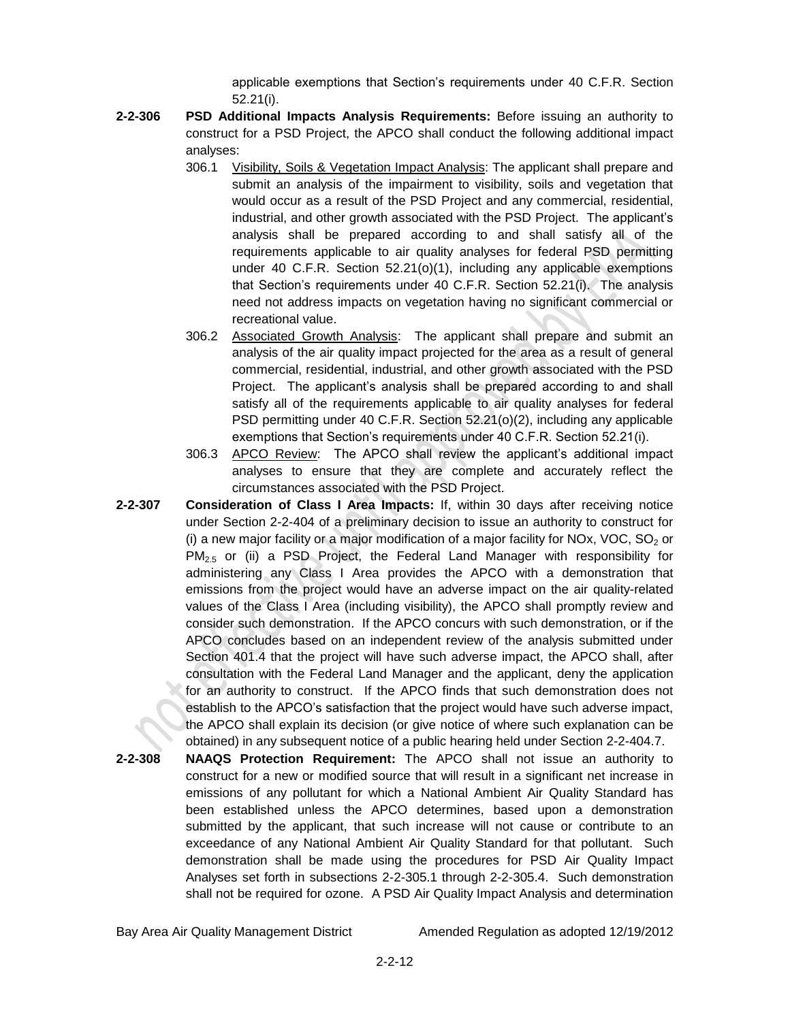applicable exemptions that Section's requirements under 40 C.F.R. Section 52.21(i).

- **2-2-306 PSD Additional Impacts Analysis Requirements:** Before issuing an authority to construct for a PSD Project, the APCO shall conduct the following additional impact analyses:
	- 306.1 Visibility, Soils & Vegetation Impact Analysis: The applicant shall prepare and submit an analysis of the impairment to visibility, soils and vegetation that would occur as a result of the PSD Project and any commercial, residential, industrial, and other growth associated with the PSD Project. The applicant's analysis shall be prepared according to and shall satisfy all of the requirements applicable to air quality analyses for federal PSD permitting under 40 C.F.R. Section 52.21(o)(1), including any applicable exemptions that Section's requirements under 40 C.F.R. Section 52.21(i). The analysis need not address impacts on vegetation having no significant commercial or recreational value.
	- 306.2 Associated Growth Analysis: The applicant shall prepare and submit an analysis of the air quality impact projected for the area as a result of general commercial, residential, industrial, and other growth associated with the PSD Project. The applicant's analysis shall be prepared according to and shall satisfy all of the requirements applicable to air quality analyses for federal PSD permitting under 40 C.F.R. Section 52.21(o)(2), including any applicable exemptions that Section's requirements under 40 C.F.R. Section 52.21(i).
	- 306.3 APCO Review: The APCO shall review the applicant's additional impact analyses to ensure that they are complete and accurately reflect the circumstances associated with the PSD Project.
- **2-2-307 Consideration of Class I Area Impacts:** If, within 30 days after receiving notice under Section 2-2-404 of a preliminary decision to issue an authority to construct for (i) a new major facility or a major modification of a major facility for NOx, VOC,  $SO<sub>2</sub>$  or  $PM_{2.5}$  or (ii) a PSD Project, the Federal Land Manager with responsibility for administering any Class I Area provides the APCO with a demonstration that emissions from the project would have an adverse impact on the air quality-related values of the Class I Area (including visibility), the APCO shall promptly review and consider such demonstration. If the APCO concurs with such demonstration, or if the APCO concludes based on an independent review of the analysis submitted under Section 401.4 that the project will have such adverse impact, the APCO shall, after consultation with the Federal Land Manager and the applicant, deny the application for an authority to construct. If the APCO finds that such demonstration does not establish to the APCO's satisfaction that the project would have such adverse impact, the APCO shall explain its decision (or give notice of where such explanation can be obtained) in any subsequent notice of a public hearing held under Section 2-2-404.7.
- **2-2-308 NAAQS Protection Requirement:** The APCO shall not issue an authority to construct for a new or modified source that will result in a significant net increase in emissions of any pollutant for which a National Ambient Air Quality Standard has been established unless the APCO determines, based upon a demonstration submitted by the applicant, that such increase will not cause or contribute to an exceedance of any National Ambient Air Quality Standard for that pollutant. Such demonstration shall be made using the procedures for PSD Air Quality Impact Analyses set forth in subsections 2-2-305.1 through 2-2-305.4. Such demonstration shall not be required for ozone. A PSD Air Quality Impact Analysis and determination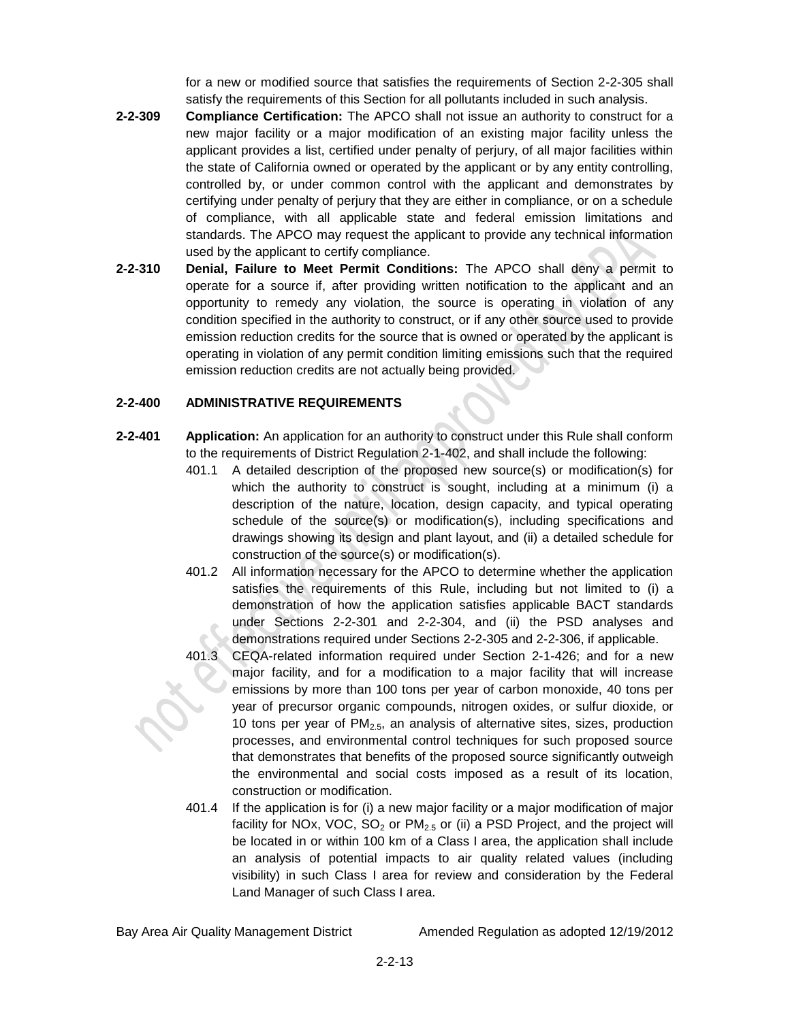for a new or modified source that satisfies the requirements of Section 2-2-305 shall satisfy the requirements of this Section for all pollutants included in such analysis.

- **2-2-309 Compliance Certification:** The APCO shall not issue an authority to construct for a new major facility or a major modification of an existing major facility unless the applicant provides a list, certified under penalty of perjury, of all major facilities within the state of California owned or operated by the applicant or by any entity controlling, controlled by, or under common control with the applicant and demonstrates by certifying under penalty of perjury that they are either in compliance, or on a schedule of compliance, with all applicable state and federal emission limitations and standards. The APCO may request the applicant to provide any technical information used by the applicant to certify compliance.
- **2-2-310 Denial, Failure to Meet Permit Conditions:** The APCO shall deny a permit to operate for a source if, after providing written notification to the applicant and an opportunity to remedy any violation, the source is operating in violation of any condition specified in the authority to construct, or if any other source used to provide emission reduction credits for the source that is owned or operated by the applicant is operating in violation of any permit condition limiting emissions such that the required emission reduction credits are not actually being provided.

## **2-2-400 ADMINISTRATIVE REQUIREMENTS**

- **2-2-401 Application:** An application for an authority to construct under this Rule shall conform to the requirements of District Regulation 2-1-402, and shall include the following:
	- 401.1 A detailed description of the proposed new source(s) or modification(s) for which the authority to construct is sought, including at a minimum (i) a description of the nature, location, design capacity, and typical operating schedule of the source(s) or modification(s), including specifications and drawings showing its design and plant layout, and (ii) a detailed schedule for construction of the source(s) or modification(s).
	- 401.2 All information necessary for the APCO to determine whether the application satisfies the requirements of this Rule, including but not limited to (i) a demonstration of how the application satisfies applicable BACT standards under Sections 2-2-301 and 2-2-304, and (ii) the PSD analyses and demonstrations required under Sections 2-2-305 and 2-2-306, if applicable.
	- 401.3 CEQA-related information required under Section 2-1-426; and for a new major facility, and for a modification to a major facility that will increase emissions by more than 100 tons per year of carbon monoxide, 40 tons per year of precursor organic compounds, nitrogen oxides, or sulfur dioxide, or 10 tons per year of  $PM<sub>2.5</sub>$ , an analysis of alternative sites, sizes, production processes, and environmental control techniques for such proposed source that demonstrates that benefits of the proposed source significantly outweigh the environmental and social costs imposed as a result of its location, construction or modification.
	- 401.4 If the application is for (i) a new major facility or a major modification of major facility for NOx, VOC,  $SO_2$  or  $PM_{2.5}$  or (ii) a PSD Project, and the project will be located in or within 100 km of a Class I area, the application shall include an analysis of potential impacts to air quality related values (including visibility) in such Class I area for review and consideration by the Federal Land Manager of such Class I area.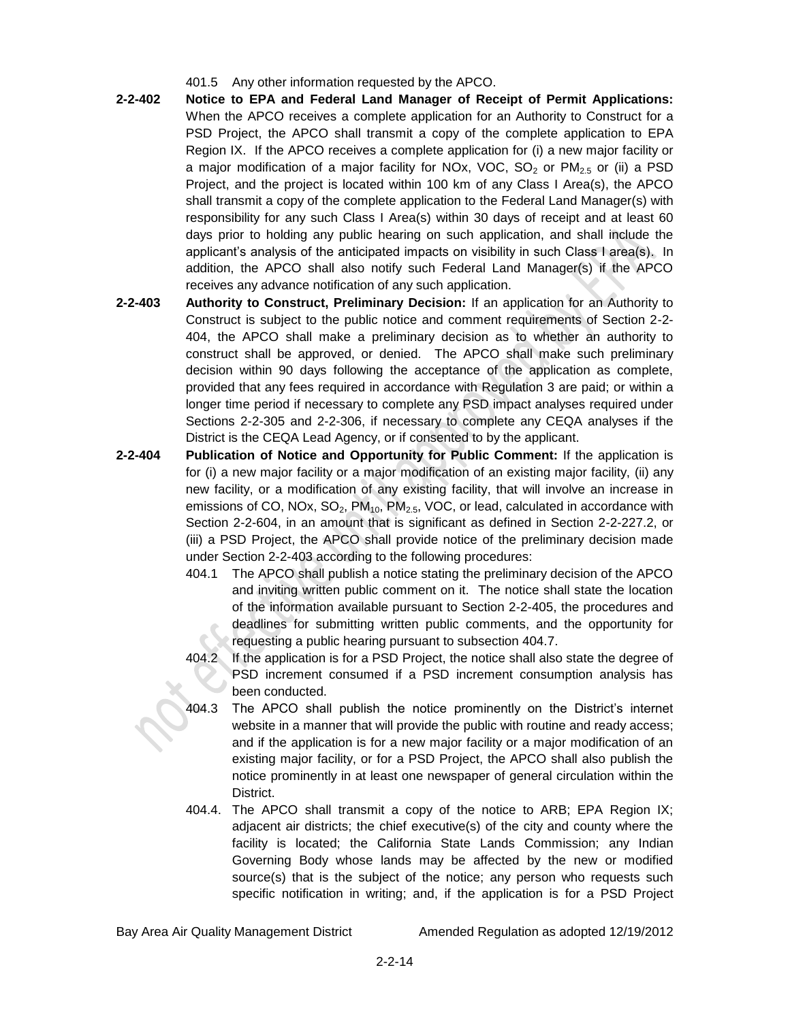- 401.5 Any other information requested by the APCO.
- **2-2-402 Notice to EPA and Federal Land Manager of Receipt of Permit Applications:** When the APCO receives a complete application for an Authority to Construct for a PSD Project, the APCO shall transmit a copy of the complete application to EPA Region IX. If the APCO receives a complete application for (i) a new major facility or a major modification of a major facility for NOx, VOC,  $SO_2$  or  $PM_{2.5}$  or (ii) a PSD Project, and the project is located within 100 km of any Class I Area(s), the APCO shall transmit a copy of the complete application to the Federal Land Manager(s) with responsibility for any such Class I Area(s) within 30 days of receipt and at least 60 days prior to holding any public hearing on such application, and shall include the applicant's analysis of the anticipated impacts on visibility in such Class I area(s). In addition, the APCO shall also notify such Federal Land Manager(s) if the APCO receives any advance notification of any such application.
- **2-2-403 Authority to Construct, Preliminary Decision:** If an application for an Authority to Construct is subject to the public notice and comment requirements of Section 2-2- 404, the APCO shall make a preliminary decision as to whether an authority to construct shall be approved, or denied. The APCO shall make such preliminary decision within 90 days following the acceptance of the application as complete, provided that any fees required in accordance with Regulation 3 are paid; or within a longer time period if necessary to complete any PSD impact analyses required under Sections 2-2-305 and 2-2-306, if necessary to complete any CEQA analyses if the District is the CEQA Lead Agency, or if consented to by the applicant.
- **2-2-404 Publication of Notice and Opportunity for Public Comment:** If the application is for (i) a new major facility or a major modification of an existing major facility, (ii) any new facility, or a modification of any existing facility, that will involve an increase in emissions of CO, NOx, SO<sub>2</sub>, PM<sub>10</sub>, PM<sub>2.5</sub>, VOC, or lead, calculated in accordance with Section 2-2-604, in an amount that is significant as defined in Section 2-2-227.2, or (iii) a PSD Project, the APCO shall provide notice of the preliminary decision made under Section 2-2-403 according to the following procedures:
	- 404.1 The APCO shall publish a notice stating the preliminary decision of the APCO and inviting written public comment on it. The notice shall state the location of the information available pursuant to Section 2-2-405, the procedures and deadlines for submitting written public comments, and the opportunity for requesting a public hearing pursuant to subsection 404.7.
	- 404.2 If the application is for a PSD Project, the notice shall also state the degree of PSD increment consumed if a PSD increment consumption analysis has been conducted.
	- 404.3 The APCO shall publish the notice prominently on the District's internet website in a manner that will provide the public with routine and ready access; and if the application is for a new major facility or a major modification of an existing major facility, or for a PSD Project, the APCO shall also publish the notice prominently in at least one newspaper of general circulation within the District.
	- 404.4. The APCO shall transmit a copy of the notice to ARB; EPA Region IX; adjacent air districts; the chief executive(s) of the city and county where the facility is located; the California State Lands Commission; any Indian Governing Body whose lands may be affected by the new or modified source(s) that is the subject of the notice; any person who requests such specific notification in writing; and, if the application is for a PSD Project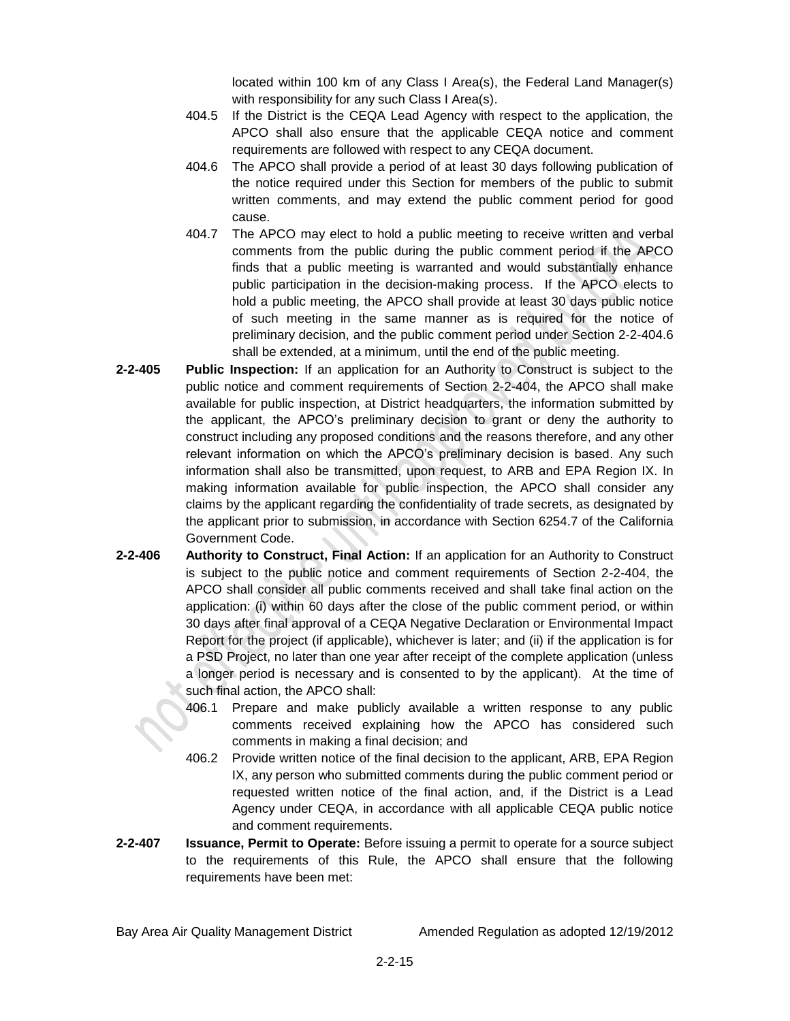located within 100 km of any Class I Area(s), the Federal Land Manager(s) with responsibility for any such Class I Area(s).

- 404.5 If the District is the CEQA Lead Agency with respect to the application, the APCO shall also ensure that the applicable CEQA notice and comment requirements are followed with respect to any CEQA document.
- 404.6 The APCO shall provide a period of at least 30 days following publication of the notice required under this Section for members of the public to submit written comments, and may extend the public comment period for good cause.
- 404.7 The APCO may elect to hold a public meeting to receive written and verbal comments from the public during the public comment period if the APCO finds that a public meeting is warranted and would substantially enhance public participation in the decision-making process. If the APCO elects to hold a public meeting, the APCO shall provide at least 30 days public notice of such meeting in the same manner as is required for the notice of preliminary decision, and the public comment period under Section 2-2-404.6 shall be extended, at a minimum, until the end of the public meeting.
- **2-2-405 Public Inspection:** If an application for an Authority to Construct is subject to the public notice and comment requirements of Section 2-2-404, the APCO shall make available for public inspection, at District headquarters, the information submitted by the applicant, the APCO's preliminary decision to grant or deny the authority to construct including any proposed conditions and the reasons therefore, and any other relevant information on which the APCO's preliminary decision is based. Any such information shall also be transmitted, upon request, to ARB and EPA Region IX. In making information available for public inspection, the APCO shall consider any claims by the applicant regarding the confidentiality of trade secrets, as designated by the applicant prior to submission, in accordance with Section 6254.7 of the California Government Code.
- **2-2-406 Authority to Construct, Final Action:** If an application for an Authority to Construct is subject to the public notice and comment requirements of Section 2-2-404, the APCO shall consider all public comments received and shall take final action on the application: (i) within 60 days after the close of the public comment period, or within 30 days after final approval of a CEQA Negative Declaration or Environmental Impact Report for the project (if applicable), whichever is later; and (ii) if the application is for a PSD Project, no later than one year after receipt of the complete application (unless a longer period is necessary and is consented to by the applicant). At the time of such final action, the APCO shall:
	- 406.1 Prepare and make publicly available a written response to any public comments received explaining how the APCO has considered such comments in making a final decision; and
	- 406.2 Provide written notice of the final decision to the applicant, ARB, EPA Region IX, any person who submitted comments during the public comment period or requested written notice of the final action, and, if the District is a Lead Agency under CEQA, in accordance with all applicable CEQA public notice and comment requirements.
- **2-2-407 Issuance, Permit to Operate:** Before issuing a permit to operate for a source subject to the requirements of this Rule, the APCO shall ensure that the following requirements have been met: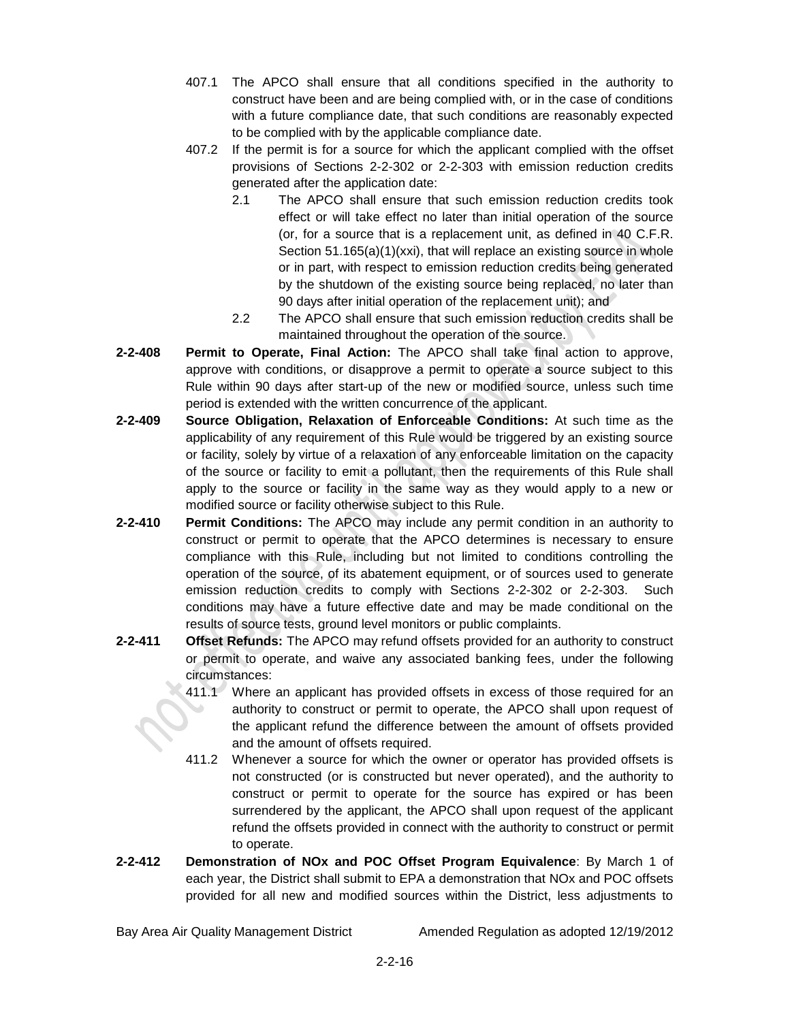- 407.1 The APCO shall ensure that all conditions specified in the authority to construct have been and are being complied with, or in the case of conditions with a future compliance date, that such conditions are reasonably expected to be complied with by the applicable compliance date.
- 407.2 If the permit is for a source for which the applicant complied with the offset provisions of Sections 2-2-302 or 2-2-303 with emission reduction credits generated after the application date:
	- 2.1 The APCO shall ensure that such emission reduction credits took effect or will take effect no later than initial operation of the source (or, for a source that is a replacement unit, as defined in 40 C.F.R. Section 51.165(a)(1)(xxi), that will replace an existing source in whole or in part, with respect to emission reduction credits being generated by the shutdown of the existing source being replaced, no later than 90 days after initial operation of the replacement unit); and
	- 2.2 The APCO shall ensure that such emission reduction credits shall be maintained throughout the operation of the source.
- **2-2-408 Permit to Operate, Final Action:** The APCO shall take final action to approve, approve with conditions, or disapprove a permit to operate a source subject to this Rule within 90 days after start-up of the new or modified source, unless such time period is extended with the written concurrence of the applicant.
- **2-2-409 Source Obligation, Relaxation of Enforceable Conditions:** At such time as the applicability of any requirement of this Rule would be triggered by an existing source or facility, solely by virtue of a relaxation of any enforceable limitation on the capacity of the source or facility to emit a pollutant, then the requirements of this Rule shall apply to the source or facility in the same way as they would apply to a new or modified source or facility otherwise subject to this Rule.
- **2-2-410 Permit Conditions:** The APCO may include any permit condition in an authority to construct or permit to operate that the APCO determines is necessary to ensure compliance with this Rule, including but not limited to conditions controlling the operation of the source, of its abatement equipment, or of sources used to generate emission reduction credits to comply with Sections 2-2-302 or 2-2-303. Such conditions may have a future effective date and may be made conditional on the results of source tests, ground level monitors or public complaints.
- **2-2-411 Offset Refunds:** The APCO may refund offsets provided for an authority to construct or permit to operate, and waive any associated banking fees, under the following circumstances:
	- 411.1 Where an applicant has provided offsets in excess of those required for an authority to construct or permit to operate, the APCO shall upon request of the applicant refund the difference between the amount of offsets provided and the amount of offsets required.
	- 411.2 Whenever a source for which the owner or operator has provided offsets is not constructed (or is constructed but never operated), and the authority to construct or permit to operate for the source has expired or has been surrendered by the applicant, the APCO shall upon request of the applicant refund the offsets provided in connect with the authority to construct or permit to operate.
- **2-2-412 Demonstration of NOx and POC Offset Program Equivalence**: By March 1 of each year, the District shall submit to EPA a demonstration that NOx and POC offsets provided for all new and modified sources within the District, less adjustments to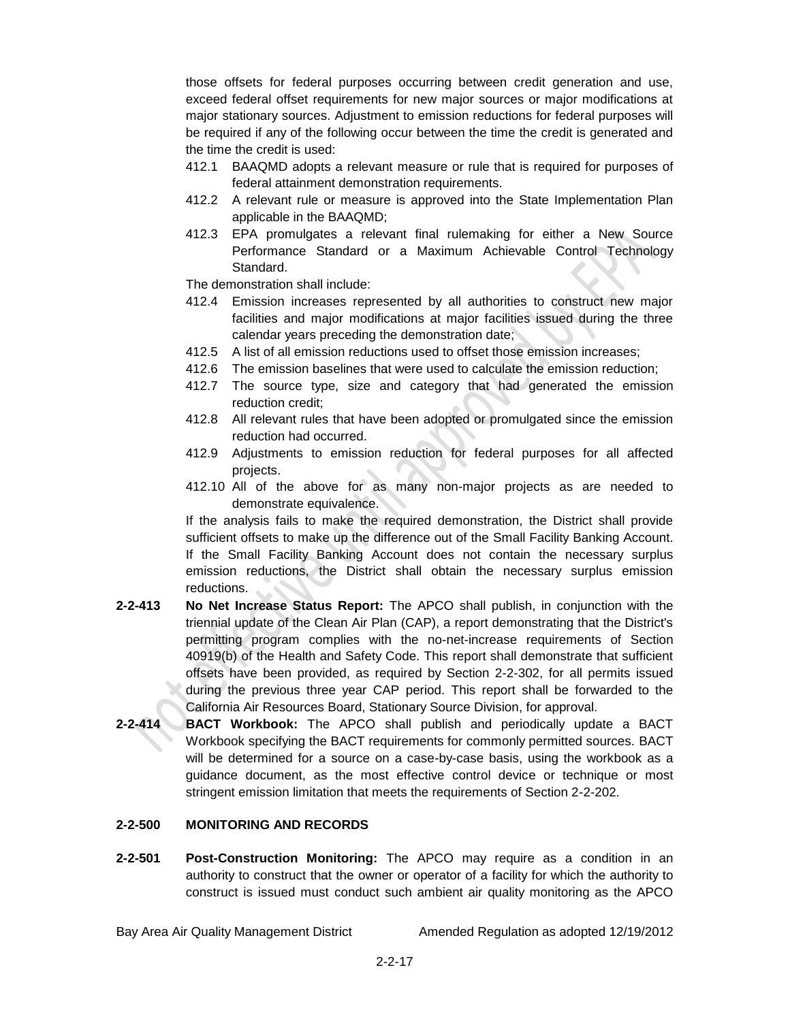those offsets for federal purposes occurring between credit generation and use, exceed federal offset requirements for new major sources or major modifications at major stationary sources. Adjustment to emission reductions for federal purposes will be required if any of the following occur between the time the credit is generated and the time the credit is used:

- 412.1 BAAQMD adopts a relevant measure or rule that is required for purposes of federal attainment demonstration requirements.
- 412.2 A relevant rule or measure is approved into the State Implementation Plan applicable in the BAAQMD;
- 412.3 EPA promulgates a relevant final rulemaking for either a New Source Performance Standard or a Maximum Achievable Control Technology Standard.

The demonstration shall include:

- 412.4 Emission increases represented by all authorities to construct new major facilities and major modifications at major facilities issued during the three calendar years preceding the demonstration date;
- 412.5 A list of all emission reductions used to offset those emission increases;
- 412.6 The emission baselines that were used to calculate the emission reduction;
- 412.7 The source type, size and category that had generated the emission reduction credit;
- 412.8 All relevant rules that have been adopted or promulgated since the emission reduction had occurred.
- 412.9 Adjustments to emission reduction for federal purposes for all affected projects.
- 412.10 All of the above for as many non-major projects as are needed to demonstrate equivalence.

If the analysis fails to make the required demonstration, the District shall provide sufficient offsets to make up the difference out of the Small Facility Banking Account. If the Small Facility Banking Account does not contain the necessary surplus emission reductions, the District shall obtain the necessary surplus emission reductions.

- **2-2-413 No Net Increase Status Report:** The APCO shall publish, in conjunction with the triennial update of the Clean Air Plan (CAP), a report demonstrating that the District's permitting program complies with the no-net-increase requirements of Section 40919(b) of the Health and Safety Code. This report shall demonstrate that sufficient offsets have been provided, as required by Section 2-2-302, for all permits issued during the previous three year CAP period. This report shall be forwarded to the California Air Resources Board, Stationary Source Division, for approval.
- **2-2-414 BACT Workbook:** The APCO shall publish and periodically update a BACT Workbook specifying the BACT requirements for commonly permitted sources. BACT will be determined for a source on a case-by-case basis, using the workbook as a guidance document, as the most effective control device or technique or most stringent emission limitation that meets the requirements of Section 2-2-202.

### **2-2-500 MONITORING AND RECORDS**

**2-2-501 Post-Construction Monitoring:** The APCO may require as a condition in an authority to construct that the owner or operator of a facility for which the authority to construct is issued must conduct such ambient air quality monitoring as the APCO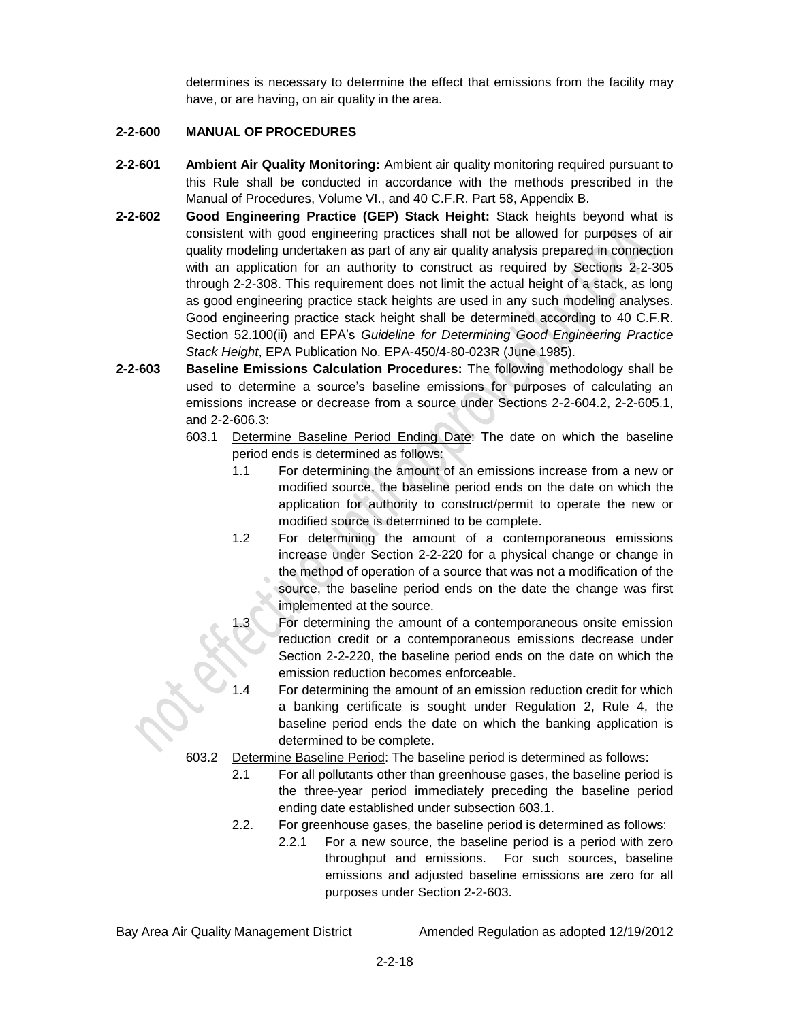determines is necessary to determine the effect that emissions from the facility may have, or are having, on air quality in the area.

### **2-2-600 MANUAL OF PROCEDURES**

- **2-2-601 Ambient Air Quality Monitoring:** Ambient air quality monitoring required pursuant to this Rule shall be conducted in accordance with the methods prescribed in the Manual of Procedures, Volume VI., and 40 C.F.R. Part 58, Appendix B.
- **2-2-602 Good Engineering Practice (GEP) Stack Height:** Stack heights beyond what is consistent with good engineering practices shall not be allowed for purposes of air quality modeling undertaken as part of any air quality analysis prepared in connection with an application for an authority to construct as required by Sections 2-2-305 through 2-2-308. This requirement does not limit the actual height of a stack, as long as good engineering practice stack heights are used in any such modeling analyses. Good engineering practice stack height shall be determined according to 40 C.F.R. Section 52.100(ii) and EPA's *Guideline for Determining Good Engineering Practice Stack Height*, EPA Publication No. EPA-450/4-80-023R (June 1985).
- **2-2-603 Baseline Emissions Calculation Procedures:** The following methodology shall be used to determine a source's baseline emissions for purposes of calculating an emissions increase or decrease from a source under Sections 2-2-604.2, 2-2-605.1, and 2-2-606.3:
	- 603.1 Determine Baseline Period Ending Date: The date on which the baseline period ends is determined as follows:
		- 1.1 For determining the amount of an emissions increase from a new or modified source, the baseline period ends on the date on which the application for authority to construct/permit to operate the new or modified source is determined to be complete.
		- 1.2 For determining the amount of a contemporaneous emissions increase under Section 2-2-220 for a physical change or change in the method of operation of a source that was not a modification of the source, the baseline period ends on the date the change was first implemented at the source.
		- For determining the amount of a contemporaneous onsite emission reduction credit or a contemporaneous emissions decrease under Section 2-2-220, the baseline period ends on the date on which the emission reduction becomes enforceable.
		- For determining the amount of an emission reduction credit for which a banking certificate is sought under Regulation 2, Rule 4, the baseline period ends the date on which the banking application is determined to be complete.
	- 603.2 Determine Baseline Period: The baseline period is determined as follows:
		- 2.1 For all pollutants other than greenhouse gases, the baseline period is the three-year period immediately preceding the baseline period ending date established under subsection 603.1.
		- 2.2. For greenhouse gases, the baseline period is determined as follows:
			- 2.2.1 For a new source, the baseline period is a period with zero throughput and emissions. For such sources, baseline emissions and adjusted baseline emissions are zero for all purposes under Section 2-2-603.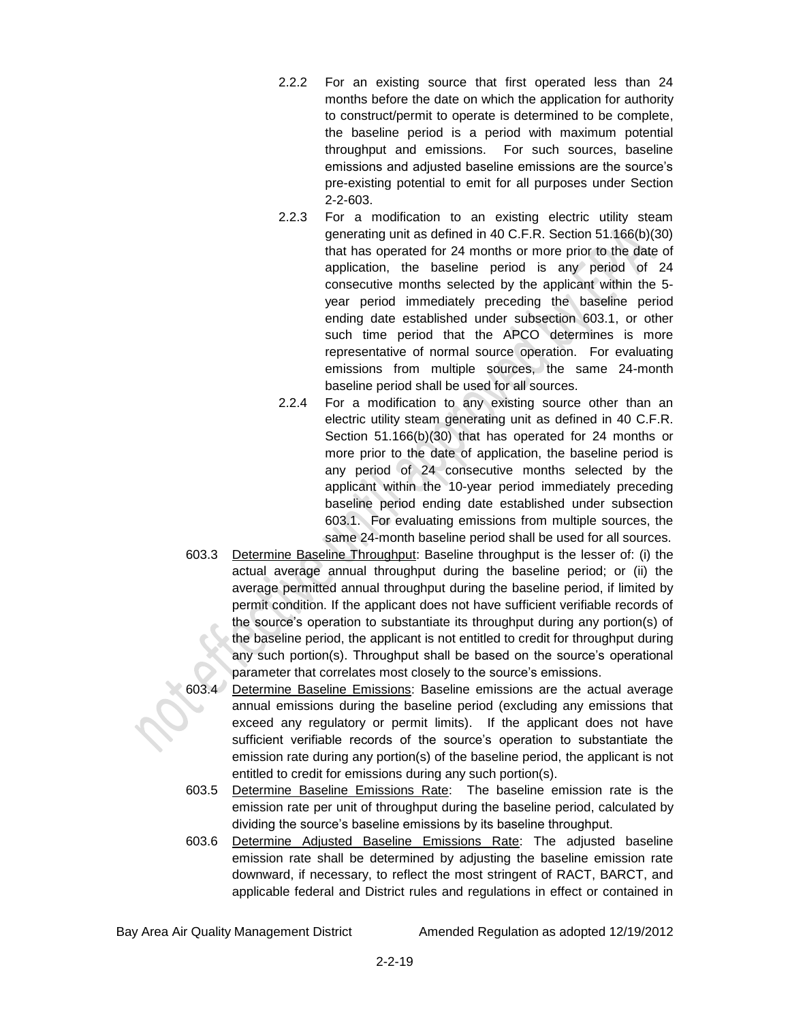- 2.2.2 For an existing source that first operated less than 24 months before the date on which the application for authority to construct/permit to operate is determined to be complete, the baseline period is a period with maximum potential throughput and emissions. For such sources, baseline emissions and adjusted baseline emissions are the source's pre-existing potential to emit for all purposes under Section 2-2-603.
- 2.2.3 For a modification to an existing electric utility steam generating unit as defined in 40 C.F.R. Section 51.166(b)(30) that has operated for 24 months or more prior to the date of application, the baseline period is any period of 24 consecutive months selected by the applicant within the 5 year period immediately preceding the baseline period ending date established under subsection 603.1, or other such time period that the APCO determines is more representative of normal source operation. For evaluating emissions from multiple sources, the same 24-month baseline period shall be used for all sources.
- 2.2.4 For a modification to any existing source other than an electric utility steam generating unit as defined in 40 C.F.R. Section 51.166(b)(30) that has operated for 24 months or more prior to the date of application, the baseline period is any period of 24 consecutive months selected by the applicant within the 10-year period immediately preceding baseline period ending date established under subsection 603.1. For evaluating emissions from multiple sources, the same 24-month baseline period shall be used for all sources.
- 603.3 Determine Baseline Throughput: Baseline throughput is the lesser of: (i) the actual average annual throughput during the baseline period; or (ii) the average permitted annual throughput during the baseline period, if limited by permit condition. If the applicant does not have sufficient verifiable records of the source's operation to substantiate its throughput during any portion(s) of the baseline period, the applicant is not entitled to credit for throughput during any such portion(s). Throughput shall be based on the source's operational parameter that correlates most closely to the source's emissions.
- 603.4 Determine Baseline Emissions: Baseline emissions are the actual average annual emissions during the baseline period (excluding any emissions that exceed any regulatory or permit limits). If the applicant does not have sufficient verifiable records of the source's operation to substantiate the emission rate during any portion(s) of the baseline period, the applicant is not entitled to credit for emissions during any such portion(s).
- 603.5 Determine Baseline Emissions Rate: The baseline emission rate is the emission rate per unit of throughput during the baseline period, calculated by dividing the source's baseline emissions by its baseline throughput.
- 603.6 Determine Adjusted Baseline Emissions Rate: The adjusted baseline emission rate shall be determined by adjusting the baseline emission rate downward, if necessary, to reflect the most stringent of RACT, BARCT, and applicable federal and District rules and regulations in effect or contained in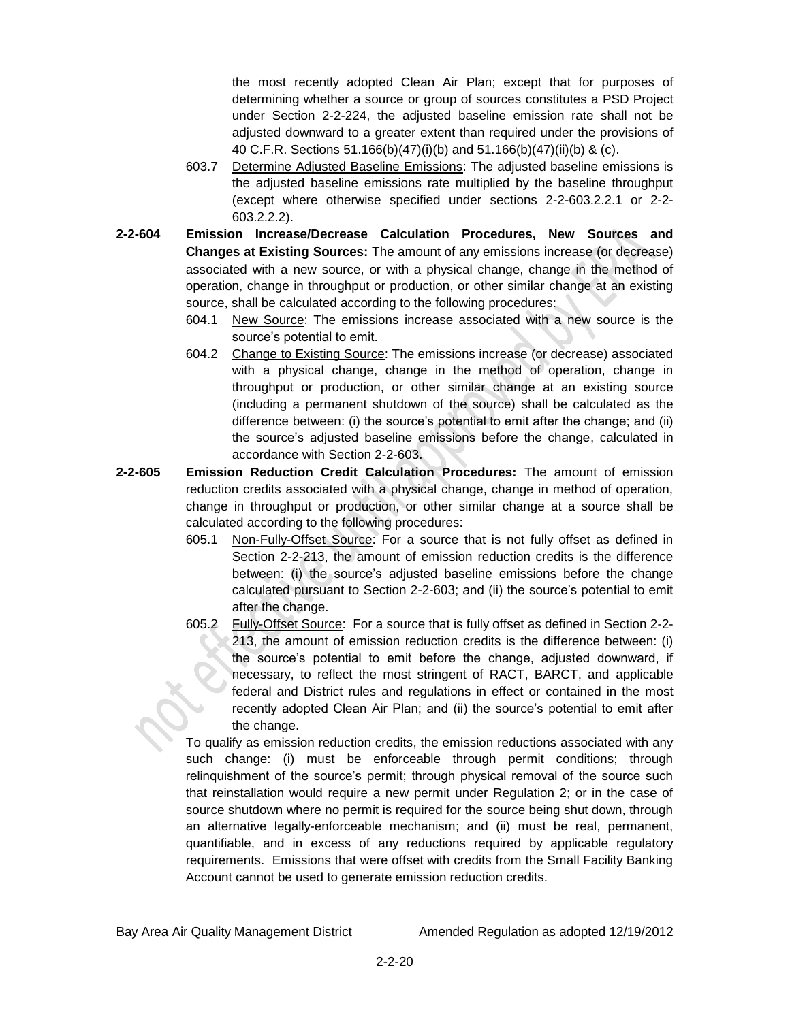the most recently adopted Clean Air Plan; except that for purposes of determining whether a source or group of sources constitutes a PSD Project under Section 2-2-224, the adjusted baseline emission rate shall not be adjusted downward to a greater extent than required under the provisions of 40 C.F.R. Sections 51.166(b)(47)(i)(b) and 51.166(b)(47)(ii)(b) & (c).

- 603.7 Determine Adjusted Baseline Emissions: The adjusted baseline emissions is the adjusted baseline emissions rate multiplied by the baseline throughput (except where otherwise specified under sections 2-2-603.2.2.1 or 2-2- 603.2.2.2).
- **2-2-604 Emission Increase/Decrease Calculation Procedures, New Sources and Changes at Existing Sources:** The amount of any emissions increase (or decrease) associated with a new source, or with a physical change, change in the method of operation, change in throughput or production, or other similar change at an existing source, shall be calculated according to the following procedures:
	- 604.1 New Source: The emissions increase associated with a new source is the source's potential to emit.
	- 604.2 Change to Existing Source: The emissions increase (or decrease) associated with a physical change, change in the method of operation, change in throughput or production, or other similar change at an existing source (including a permanent shutdown of the source) shall be calculated as the difference between: (i) the source's potential to emit after the change; and (ii) the source's adjusted baseline emissions before the change, calculated in accordance with Section 2-2-603.
- **2-2-605 Emission Reduction Credit Calculation Procedures:** The amount of emission reduction credits associated with a physical change, change in method of operation, change in throughput or production, or other similar change at a source shall be calculated according to the following procedures:
	- 605.1 Non-Fully-Offset Source: For a source that is not fully offset as defined in Section 2-2-213, the amount of emission reduction credits is the difference between: (i) the source's adjusted baseline emissions before the change calculated pursuant to Section 2-2-603; and (ii) the source's potential to emit after the change.
	- 605.2 Fully-Offset Source: For a source that is fully offset as defined in Section 2-2- 213, the amount of emission reduction credits is the difference between: (i) the source's potential to emit before the change, adjusted downward, if necessary, to reflect the most stringent of RACT, BARCT, and applicable federal and District rules and regulations in effect or contained in the most recently adopted Clean Air Plan; and (ii) the source's potential to emit after the change.

To qualify as emission reduction credits, the emission reductions associated with any such change: (i) must be enforceable through permit conditions; through relinquishment of the source's permit; through physical removal of the source such that reinstallation would require a new permit under Regulation 2; or in the case of source shutdown where no permit is required for the source being shut down, through an alternative legally-enforceable mechanism; and (ii) must be real, permanent, quantifiable, and in excess of any reductions required by applicable regulatory requirements. Emissions that were offset with credits from the Small Facility Banking Account cannot be used to generate emission reduction credits.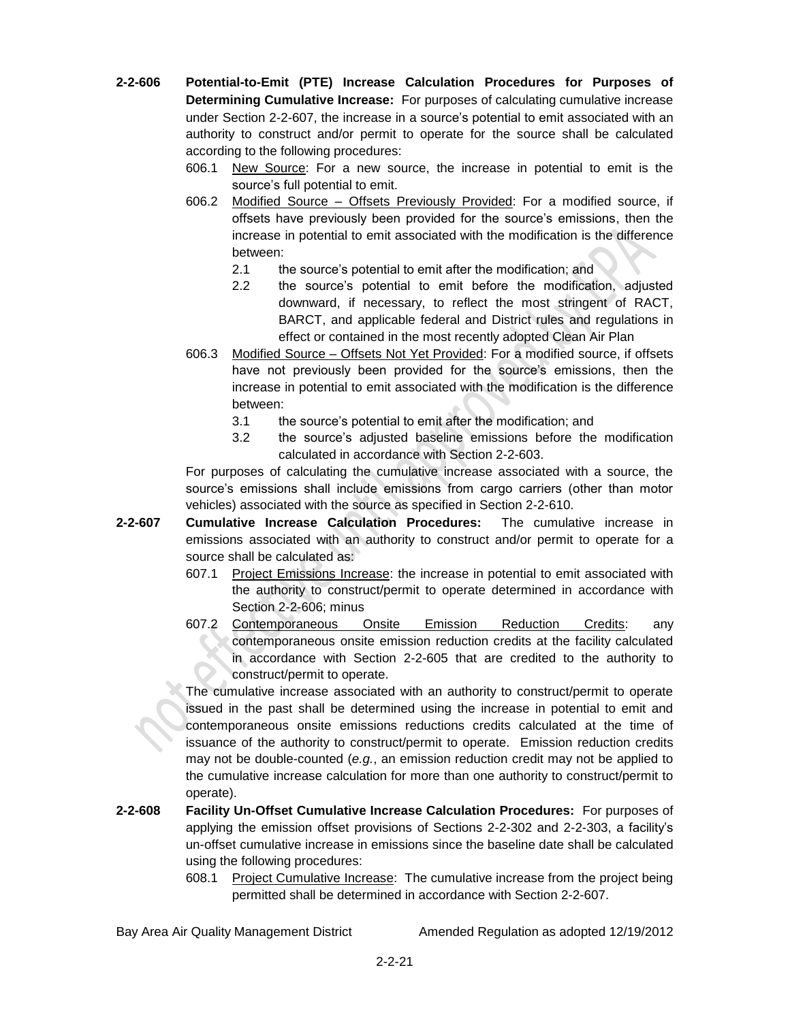- **2-2-606 Potential-to-Emit (PTE) Increase Calculation Procedures for Purposes of Determining Cumulative Increase:** For purposes of calculating cumulative increase under Section 2-2-607, the increase in a source's potential to emit associated with an authority to construct and/or permit to operate for the source shall be calculated according to the following procedures:
	- 606.1 New Source: For a new source, the increase in potential to emit is the source's full potential to emit.
	- 606.2 Modified Source Offsets Previously Provided: For a modified source, if offsets have previously been provided for the source's emissions, then the increase in potential to emit associated with the modification is the difference between:
		- 2.1 the source's potential to emit after the modification; and
		- 2.2 the source's potential to emit before the modification, adjusted downward, if necessary, to reflect the most stringent of RACT, BARCT, and applicable federal and District rules and regulations in effect or contained in the most recently adopted Clean Air Plan
	- 606.3 Modified Source Offsets Not Yet Provided: For a modified source, if offsets have not previously been provided for the source's emissions, then the increase in potential to emit associated with the modification is the difference between:
		- 3.1 the source's potential to emit after the modification; and
		- 3.2 the source's adjusted baseline emissions before the modification calculated in accordance with Section 2-2-603.

For purposes of calculating the cumulative increase associated with a source, the source's emissions shall include emissions from cargo carriers (other than motor vehicles) associated with the source as specified in Section 2-2-610.

- **2-2-607 Cumulative Increase Calculation Procedures:** The cumulative increase in emissions associated with an authority to construct and/or permit to operate for a source shall be calculated as:
	- 607.1 Project Emissions Increase: the increase in potential to emit associated with the authority to construct/permit to operate determined in accordance with Section 2-2-606; minus
	- 607.2 Contemporaneous Onsite Emission Reduction Credits: any contemporaneous onsite emission reduction credits at the facility calculated in accordance with Section 2-2-605 that are credited to the authority to construct/permit to operate.

The cumulative increase associated with an authority to construct/permit to operate issued in the past shall be determined using the increase in potential to emit and contemporaneous onsite emissions reductions credits calculated at the time of issuance of the authority to construct/permit to operate. Emission reduction credits may not be double-counted (*e.g.*, an emission reduction credit may not be applied to the cumulative increase calculation for more than one authority to construct/permit to operate).

- **2-2-608 Facility Un-Offset Cumulative Increase Calculation Procedures:** For purposes of applying the emission offset provisions of Sections 2-2-302 and 2-2-303, a facility's un-offset cumulative increase in emissions since the baseline date shall be calculated using the following procedures:
	- 608.1 Project Cumulative Increase: The cumulative increase from the project being permitted shall be determined in accordance with Section 2-2-607.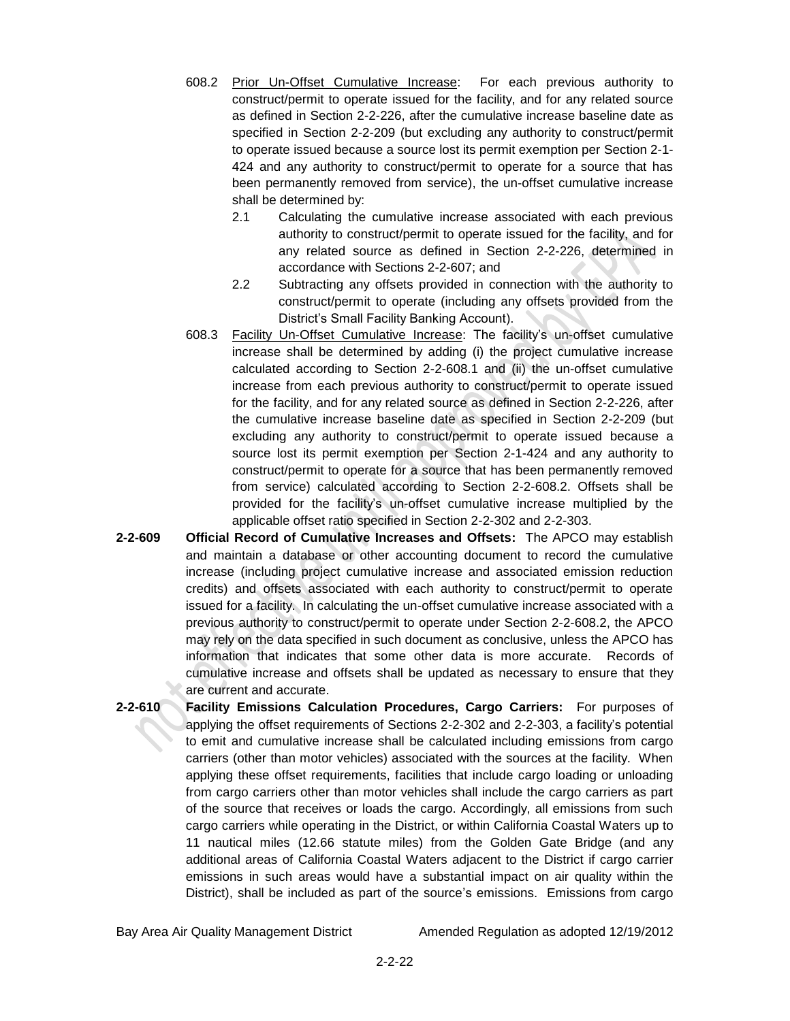- 608.2 Prior Un-Offset Cumulative Increase: For each previous authority to construct/permit to operate issued for the facility, and for any related source as defined in Section 2-2-226, after the cumulative increase baseline date as specified in Section 2-2-209 (but excluding any authority to construct/permit to operate issued because a source lost its permit exemption per Section 2-1- 424 and any authority to construct/permit to operate for a source that has been permanently removed from service), the un-offset cumulative increase shall be determined by:
	- 2.1 Calculating the cumulative increase associated with each previous authority to construct/permit to operate issued for the facility, and for any related source as defined in Section 2-2-226, determined in accordance with Sections 2-2-607; and
	- 2.2 Subtracting any offsets provided in connection with the authority to construct/permit to operate (including any offsets provided from the District's Small Facility Banking Account).
- 608.3 Facility Un-Offset Cumulative Increase: The facility's un-offset cumulative increase shall be determined by adding (i) the project cumulative increase calculated according to Section 2-2-608.1 and (ii) the un-offset cumulative increase from each previous authority to construct/permit to operate issued for the facility, and for any related source as defined in Section 2-2-226, after the cumulative increase baseline date as specified in Section 2-2-209 (but excluding any authority to construct/permit to operate issued because a source lost its permit exemption per Section 2-1-424 and any authority to construct/permit to operate for a source that has been permanently removed from service) calculated according to Section 2-2-608.2. Offsets shall be provided for the facility's un-offset cumulative increase multiplied by the applicable offset ratio specified in Section 2-2-302 and 2-2-303.
- **2-2-609 Official Record of Cumulative Increases and Offsets:** The APCO may establish and maintain a database or other accounting document to record the cumulative increase (including project cumulative increase and associated emission reduction credits) and offsets associated with each authority to construct/permit to operate issued for a facility. In calculating the un-offset cumulative increase associated with a previous authority to construct/permit to operate under Section 2-2-608.2, the APCO may rely on the data specified in such document as conclusive, unless the APCO has information that indicates that some other data is more accurate. Records of cumulative increase and offsets shall be updated as necessary to ensure that they are current and accurate.
- **2-2-610 Facility Emissions Calculation Procedures, Cargo Carriers:** For purposes of applying the offset requirements of Sections 2-2-302 and 2-2-303, a facility's potential to emit and cumulative increase shall be calculated including emissions from cargo carriers (other than motor vehicles) associated with the sources at the facility. When applying these offset requirements, facilities that include cargo loading or unloading from cargo carriers other than motor vehicles shall include the cargo carriers as part of the source that receives or loads the cargo. Accordingly, all emissions from such cargo carriers while operating in the District, or within California Coastal Waters up to 11 nautical miles (12.66 statute miles) from the Golden Gate Bridge (and any additional areas of California Coastal Waters adjacent to the District if cargo carrier emissions in such areas would have a substantial impact on air quality within the District), shall be included as part of the source's emissions. Emissions from cargo